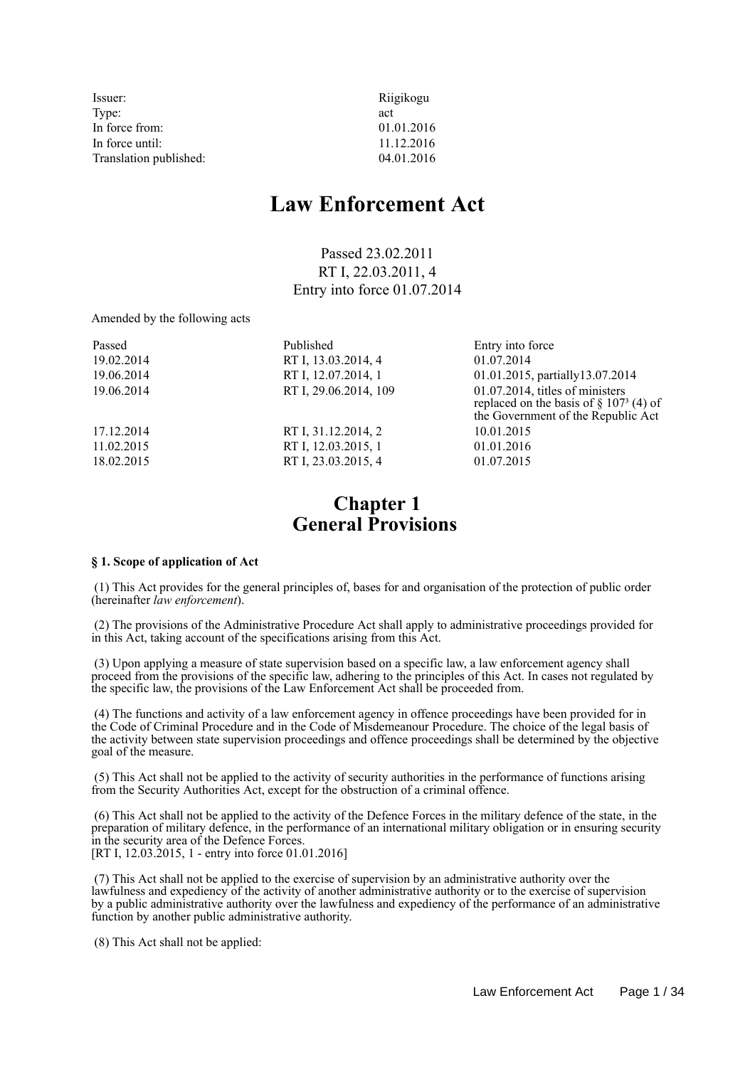| Issuer:                | Riigikogu  |
|------------------------|------------|
| Type:                  | act        |
| In force from:         | 01.01.2016 |
| In force until:        | 11.12.2016 |
| Translation published: | 04.01.2016 |

# **Law Enforcement Act**

Passed 23.02.2011 RT I, 22.03.2011, 4 Entry into force 01.07.2014

Amended by the following acts

| Passed     | Published             | Entry into force                                                                                                                  |
|------------|-----------------------|-----------------------------------------------------------------------------------------------------------------------------------|
| 19.02.2014 | RT I, 13.03.2014, 4   | 01.07.2014                                                                                                                        |
| 19.06.2014 | RT I, 12.07.2014, 1   | 01.01.2015, partially 13.07.2014                                                                                                  |
| 19.06.2014 | RT I, 29.06.2014, 109 | $01.07.2014$ , titles of ministers<br>replaced on the basis of $\S$ 107 <sup>3</sup> (4) of<br>the Government of the Republic Act |
| 17.12.2014 | RT I, 31.12.2014, 2   | 10.01.2015                                                                                                                        |
| 11.02.2015 | RT I, 12.03.2015, 1   | 01.01.2016                                                                                                                        |
| 18.02.2015 | RT I, 23.03.2015, 4   | 01.07.2015                                                                                                                        |

## **Chapter 1 General Provisions**

## **§ 1. Scope of application of Act**

 (1) This Act provides for the general principles of, bases for and organisation of the protection of public order (hereinafter *law enforcement*).

 (2) The provisions of the Administrative Procedure Act shall apply to administrative proceedings provided for in this Act, taking account of the specifications arising from this Act.

 (3) Upon applying a measure of state supervision based on a specific law, a law enforcement agency shall proceed from the provisions of the specific law, adhering to the principles of this Act. In cases not regulated by the specific law, the provisions of the Law Enforcement Act shall be proceeded from.

 (4) The functions and activity of a law enforcement agency in offence proceedings have been provided for in the Code of Criminal Procedure and in the Code of Misdemeanour Procedure. The choice of the legal basis of the activity between state supervision proceedings and offence proceedings shall be determined by the objective goal of the measure.

 (5) This Act shall not be applied to the activity of security authorities in the performance of functions arising from the Security Authorities Act, except for the obstruction of a criminal offence.

 (6) This Act shall not be applied to the activity of the Defence Forces in the military defence of the state, in the preparation of military defence, in the performance of an international military obligation or in ensuring security in the security area of the Defence Forces. [RT I, 12.03.2015, 1 - entry into force 01.01.2016]

 (7) This Act shall not be applied to the exercise of supervision by an administrative authority over the lawfulness and expediency of the activity of another administrative authority or to the exercise of supervision by a public administrative authority over the lawfulness and expediency of the performance of an administrative function by another public administrative authority.

(8) This Act shall not be applied: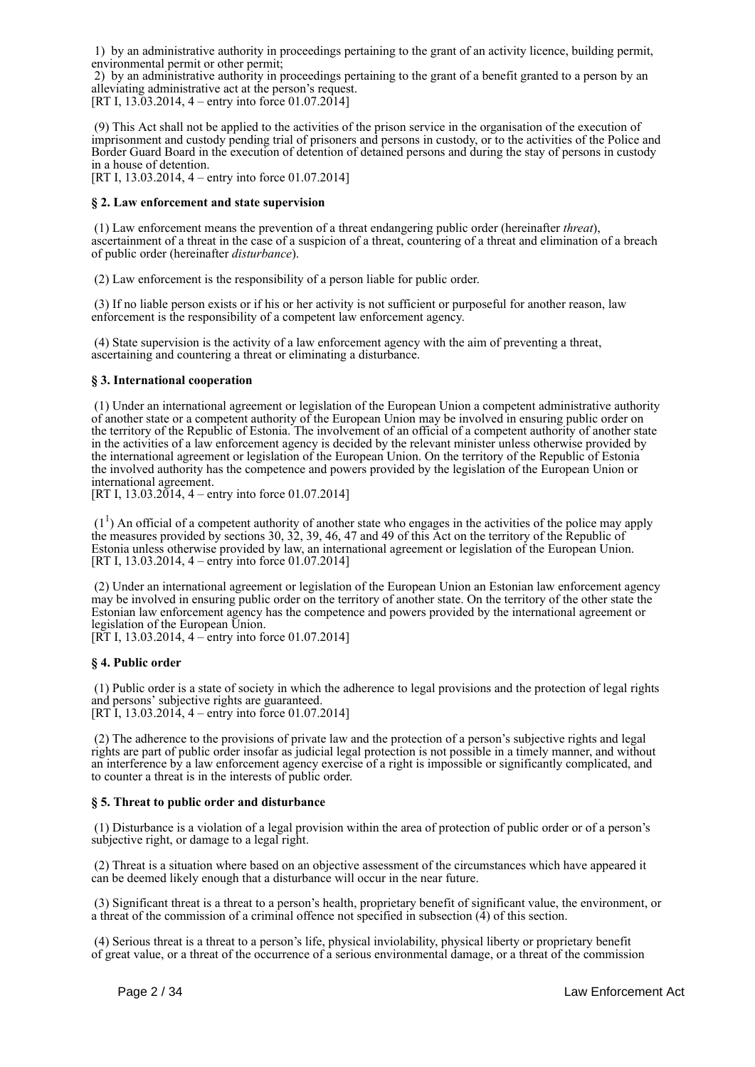1) by an administrative authority in proceedings pertaining to the grant of an activity licence, building permit, environmental permit or other permit;

 2) by an administrative authority in proceedings pertaining to the grant of a benefit granted to a person by an alleviating administrative act at the person's request.

[RT I, 13.03.2014, 4 – entry into force 01.07.2014]

 (9) This Act shall not be applied to the activities of the prison service in the organisation of the execution of imprisonment and custody pending trial of prisoners and persons in custody, or to the activities of the Police and Border Guard Board in the execution of detention of detained persons and during the stay of persons in custody in a house of detention.

[RT I, 13.03.2014, 4 – entry into force 01.07.2014]

### **§ 2. Law enforcement and state supervision**

 (1) Law enforcement means the prevention of a threat endangering public order (hereinafter *threat*), ascertainment of a threat in the case of a suspicion of a threat, countering of a threat and elimination of a breach of public order (hereinafter *disturbance*).

(2) Law enforcement is the responsibility of a person liable for public order.

 (3) If no liable person exists or if his or her activity is not sufficient or purposeful for another reason, law enforcement is the responsibility of a competent law enforcement agency.

 (4) State supervision is the activity of a law enforcement agency with the aim of preventing a threat, ascertaining and countering a threat or eliminating a disturbance.

## **§ 3. International cooperation**

 (1) Under an international agreement or legislation of the European Union a competent administrative authority of another state or a competent authority of the European Union may be involved in ensuring public order on the territory of the Republic of Estonia. The involvement of an official of a competent authority of another state in the activities of a law enforcement agency is decided by the relevant minister unless otherwise provided by the international agreement or legislation of the European Union. On the territory of the Republic of Estonia the involved authority has the competence and powers provided by the legislation of the European Union or international agreement.

[RT I, 13.03.2014, 4 – entry into force 01.07.2014]

 $(1<sup>1</sup>)$  An official of a competent authority of another state who engages in the activities of the police may apply the measures provided by sections 30, 32, 39, 46, 47 and 49 of this Act on the territory of the Republic of Estonia unless otherwise provided by law, an international agreement or legislation of the European Union. [RT I, 13.03.2014, 4 – entry into force 01.07.2014]

 (2) Under an international agreement or legislation of the European Union an Estonian law enforcement agency may be involved in ensuring public order on the territory of another state. On the territory of the other state the Estonian law enforcement agency has the competence and powers provided by the international agreement or legislation of the European Union.

[RT I, 13.03.2014, 4 – entry into force 01.07.2014]

### **§ 4. Public order**

 (1) Public order is a state of society in which the adherence to legal provisions and the protection of legal rights and persons' subjective rights are guaranteed. [RT I, 13.03.2014, 4 – entry into force 01.07.2014]

 (2) The adherence to the provisions of private law and the protection of a person's subjective rights and legal rights are part of public order insofar as judicial legal protection is not possible in a timely manner, and without an interference by a law enforcement agency exercise of a right is impossible or significantly complicated, and to counter a threat is in the interests of public order.

### **§ 5. Threat to public order and disturbance**

 (1) Disturbance is a violation of a legal provision within the area of protection of public order or of a person's subjective right, or damage to a legal right.

 (2) Threat is a situation where based on an objective assessment of the circumstances which have appeared it can be deemed likely enough that a disturbance will occur in the near future.

 (3) Significant threat is a threat to a person's health, proprietary benefit of significant value, the environment, or a threat of the commission of a criminal offence not specified in subsection (4) of this section.

 (4) Serious threat is a threat to a person's life, physical inviolability, physical liberty or proprietary benefit of great value, or a threat of the occurrence of a serious environmental damage, or a threat of the commission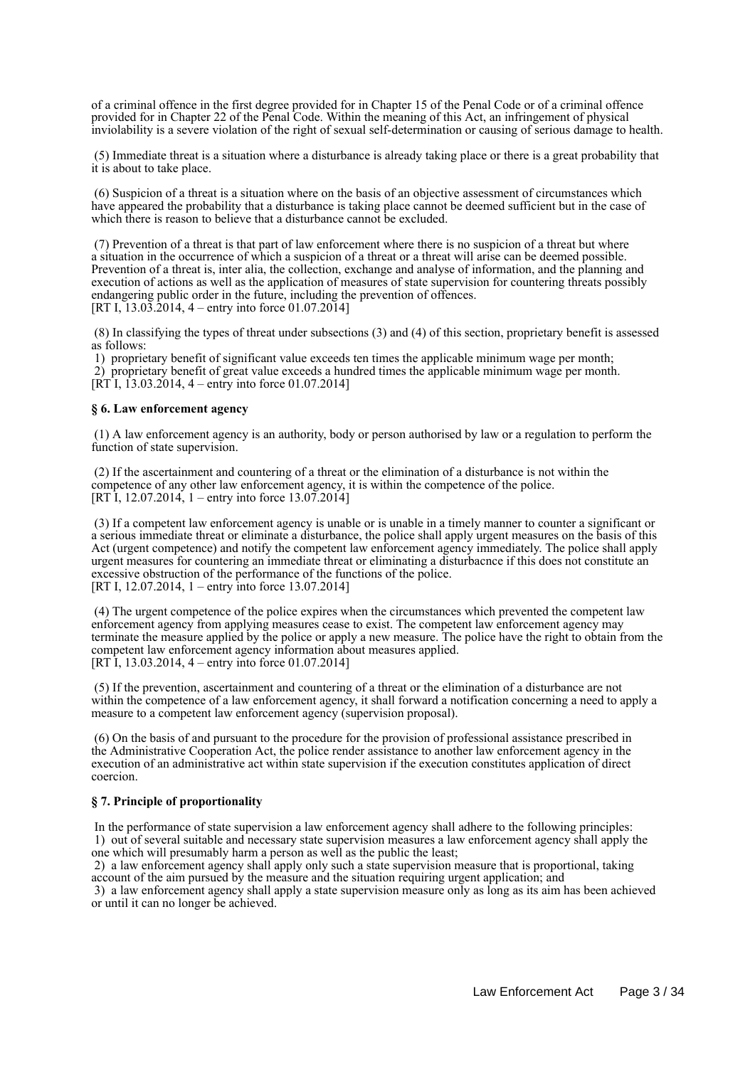of a criminal offence in the first degree provided for in Chapter 15 of the Penal Code or of a criminal offence provided for in Chapter 22 of the Penal Code. Within the meaning of this Act, an infringement of physical inviolability is a severe violation of the right of sexual self-determination or causing of serious damage to health.

 (5) Immediate threat is a situation where a disturbance is already taking place or there is a great probability that it is about to take place.

 (6) Suspicion of a threat is a situation where on the basis of an objective assessment of circumstances which have appeared the probability that a disturbance is taking place cannot be deemed sufficient but in the case of which there is reason to believe that a disturbance cannot be excluded.

 (7) Prevention of a threat is that part of law enforcement where there is no suspicion of a threat but where a situation in the occurrence of which a suspicion of a threat or a threat will arise can be deemed possible. Prevention of a threat is, inter alia, the collection, exchange and analyse of information, and the planning and execution of actions as well as the application of measures of state supervision for countering threats possibly endangering public order in the future, including the prevention of offences. [RT I,  $13.03.2014$ , 4 – entry into force 01.07.2014]

 (8) In classifying the types of threat under subsections (3) and (4) of this section, proprietary benefit is assessed as follows:

1) proprietary benefit of significant value exceeds ten times the applicable minimum wage per month;

 2) proprietary benefit of great value exceeds a hundred times the applicable minimum wage per month.  $[RT\overline{1}, \overline{13.03.2014}, 4 -$  entry into force 01.07.2014]

### **§ 6. Law enforcement agency**

 (1) A law enforcement agency is an authority, body or person authorised by law or a regulation to perform the function of state supervision.

 (2) If the ascertainment and countering of a threat or the elimination of a disturbance is not within the competence of any other law enforcement agency, it is within the competence of the police. [RT I, 12.07.2014, 1 – entry into force  $13.07.2014$ ]

 (3) If a competent law enforcement agency is unable or is unable in a timely manner to counter a significant or a serious immediate threat or eliminate a disturbance, the police shall apply urgent measures on the basis of this Act (urgent competence) and notify the competent law enforcement agency immediately. The police shall apply urgent measures for countering an immediate threat or eliminating a disturbacnce if this does not constitute an excessive obstruction of the performance of the functions of the police. [RT I, 12.07.2014, 1 – entry into force 13.07.2014]

 (4) The urgent competence of the police expires when the circumstances which prevented the competent law enforcement agency from applying measures cease to exist. The competent law enforcement agency may terminate the measure applied by the police or apply a new measure. The police have the right to obtain from the competent law enforcement agency information about measures applied. [RT I, 13.03.2014, 4 – entry into force 01.07.2014]

 (5) If the prevention, ascertainment and countering of a threat or the elimination of a disturbance are not within the competence of a law enforcement agency, it shall forward a notification concerning a need to apply a measure to a competent law enforcement agency (supervision proposal).

 (6) On the basis of and pursuant to the procedure for the provision of professional assistance prescribed in the Administrative Cooperation Act, the police render assistance to another law enforcement agency in the execution of an administrative act within state supervision if the execution constitutes application of direct coercion.

## **§ 7. Principle of proportionality**

 In the performance of state supervision a law enforcement agency shall adhere to the following principles: 1) out of several suitable and necessary state supervision measures a law enforcement agency shall apply the one which will presumably harm a person as well as the public the least;

 2) a law enforcement agency shall apply only such a state supervision measure that is proportional, taking account of the aim pursued by the measure and the situation requiring urgent application; and

 3) a law enforcement agency shall apply a state supervision measure only as long as its aim has been achieved or until it can no longer be achieved.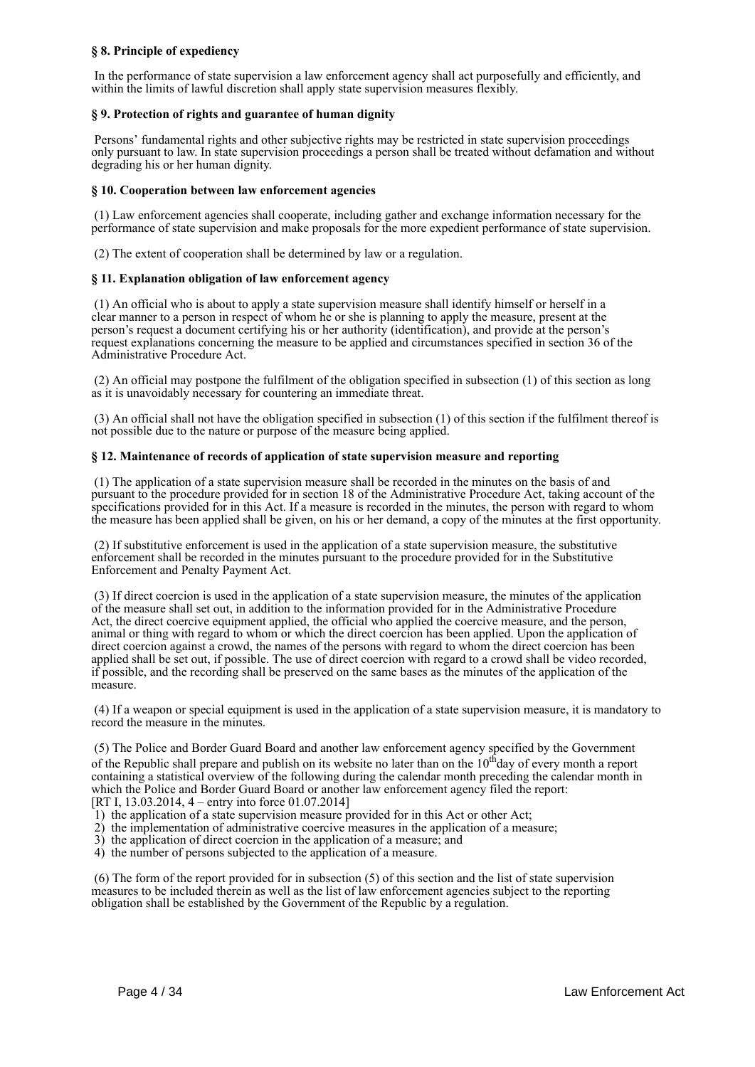## **§ 8. Principle of expediency**

 In the performance of state supervision a law enforcement agency shall act purposefully and efficiently, and within the limits of lawful discretion shall apply state supervision measures flexibly.

## **§ 9. Protection of rights and guarantee of human dignity**

 Persons' fundamental rights and other subjective rights may be restricted in state supervision proceedings only pursuant to law. In state supervision proceedings a person shall be treated without defamation and without degrading his or her human dignity.

## **§ 10. Cooperation between law enforcement agencies**

 (1) Law enforcement agencies shall cooperate, including gather and exchange information necessary for the performance of state supervision and make proposals for the more expedient performance of state supervision.

(2) The extent of cooperation shall be determined by law or a regulation.

## **§ 11. Explanation obligation of law enforcement agency**

 (1) An official who is about to apply a state supervision measure shall identify himself or herself in a clear manner to a person in respect of whom he or she is planning to apply the measure, present at the person's request a document certifying his or her authority (identification), and provide at the person's request explanations concerning the measure to be applied and circumstances specified in section 36 of the Administrative Procedure Act.

 (2) An official may postpone the fulfilment of the obligation specified in subsection (1) of this section as long as it is unavoidably necessary for countering an immediate threat.

 (3) An official shall not have the obligation specified in subsection (1) of this section if the fulfilment thereof is not possible due to the nature or purpose of the measure being applied.

## **§ 12. Maintenance of records of application of state supervision measure and reporting**

 (1) The application of a state supervision measure shall be recorded in the minutes on the basis of and pursuant to the procedure provided for in section 18 of the Administrative Procedure Act, taking account of the specifications provided for in this Act. If a measure is recorded in the minutes, the person with regard to whom the measure has been applied shall be given, on his or her demand, a copy of the minutes at the first opportunity.

 (2) If substitutive enforcement is used in the application of a state supervision measure, the substitutive enforcement shall be recorded in the minutes pursuant to the procedure provided for in the Substitutive Enforcement and Penalty Payment Act.

 (3) If direct coercion is used in the application of a state supervision measure, the minutes of the application of the measure shall set out, in addition to the information provided for in the Administrative Procedure Act, the direct coercive equipment applied, the official who applied the coercive measure, and the person, animal or thing with regard to whom or which the direct coercion has been applied. Upon the application of direct coercion against a crowd, the names of the persons with regard to whom the direct coercion has been applied shall be set out, if possible. The use of direct coercion with regard to a crowd shall be video recorded, if possible, and the recording shall be preserved on the same bases as the minutes of the application of the measure.

 (4) If a weapon or special equipment is used in the application of a state supervision measure, it is mandatory to record the measure in the minutes.

 (5) The Police and Border Guard Board and another law enforcement agency specified by the Government of the Republic shall prepare and publish on its website no later than on the  $10<sup>th</sup>$ day of every month a report containing a statistical overview of the following during the calendar month preceding the calendar month in which the Police and Border Guard Board or another law enforcement agency filed the report:

[RT I, 13.03.2014, 4 – entry into force 01.07.2014]

- 1) the application of a state supervision measure provided for in this Act or other Act;
- 2) the implementation of administrative coercive measures in the application of a measure;
- 3) the application of direct coercion in the application of a measure; and
- 4) the number of persons subjected to the application of a measure.

 (6) The form of the report provided for in subsection (5) of this section and the list of state supervision measures to be included therein as well as the list of law enforcement agencies subject to the reporting obligation shall be established by the Government of the Republic by a regulation.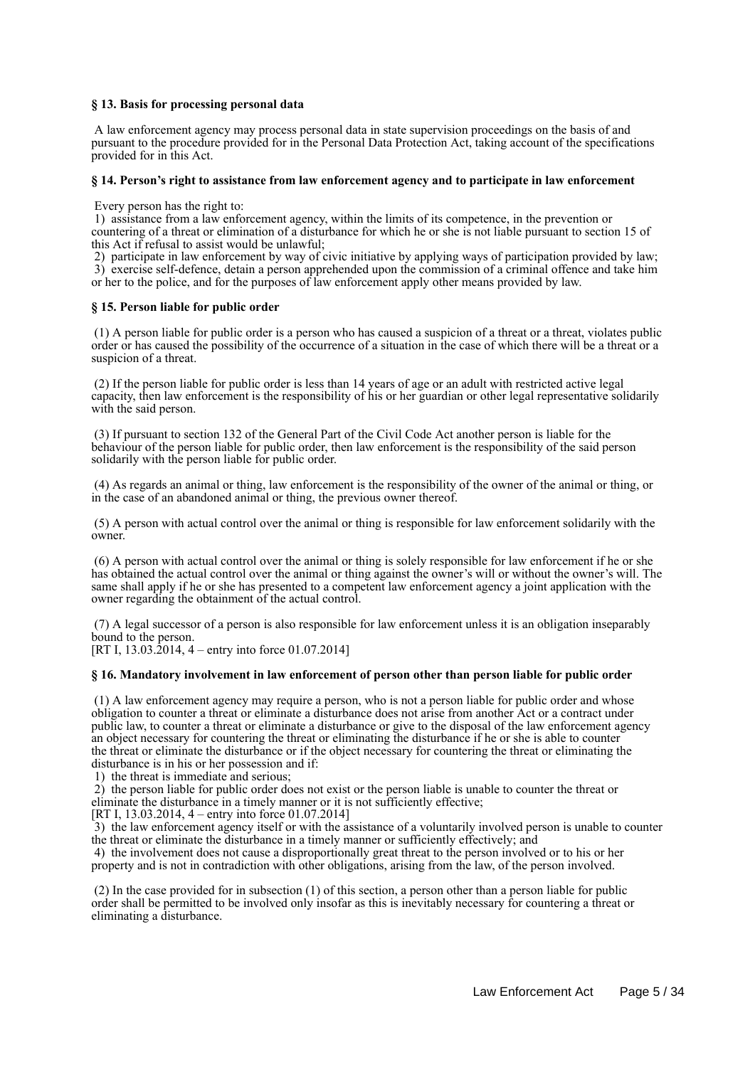## **§ 13. Basis for processing personal data**

 A law enforcement agency may process personal data in state supervision proceedings on the basis of and pursuant to the procedure provided for in the Personal Data Protection Act, taking account of the specifications provided for in this Act.

#### **§ 14. Person's right to assistance from law enforcement agency and to participate in law enforcement**

Every person has the right to:

 1) assistance from a law enforcement agency, within the limits of its competence, in the prevention or countering of a threat or elimination of a disturbance for which he or she is not liable pursuant to section 15 of this Act if refusal to assist would be unlawful;

 2) participate in law enforcement by way of civic initiative by applying ways of participation provided by law; 3) exercise self-defence, detain a person apprehended upon the commission of a criminal offence and take him or her to the police, and for the purposes of law enforcement apply other means provided by law.

#### **§ 15. Person liable for public order**

 (1) A person liable for public order is a person who has caused a suspicion of a threat or a threat, violates public order or has caused the possibility of the occurrence of a situation in the case of which there will be a threat or a suspicion of a threat.

 (2) If the person liable for public order is less than 14 years of age or an adult with restricted active legal capacity, then law enforcement is the responsibility of his or her guardian or other legal representative solidarily with the said person.

 (3) If pursuant to section 132 of the General Part of the Civil Code Act another person is liable for the behaviour of the person liable for public order, then law enforcement is the responsibility of the said person solidarily with the person liable for public order.

 (4) As regards an animal or thing, law enforcement is the responsibility of the owner of the animal or thing, or in the case of an abandoned animal or thing, the previous owner thereof.

 (5) A person with actual control over the animal or thing is responsible for law enforcement solidarily with the owner.

 (6) A person with actual control over the animal or thing is solely responsible for law enforcement if he or she has obtained the actual control over the animal or thing against the owner's will or without the owner's will. The same shall apply if he or she has presented to a competent law enforcement agency a joint application with the owner regarding the obtainment of the actual control.

 (7) A legal successor of a person is also responsible for law enforcement unless it is an obligation inseparably bound to the person.

[RT I, 13.03.2014, 4 – entry into force 01.07.2014]

### **§ 16. Mandatory involvement in law enforcement of person other than person liable for public order**

 (1) A law enforcement agency may require a person, who is not a person liable for public order and whose obligation to counter a threat or eliminate a disturbance does not arise from another Act or a contract under public law, to counter a threat or eliminate a disturbance or give to the disposal of the law enforcement agency an object necessary for countering the threat or eliminating the disturbance if he or she is able to counter the threat or eliminate the disturbance or if the object necessary for countering the threat or eliminating the disturbance is in his or her possession and if:

1) the threat is immediate and serious;

 2) the person liable for public order does not exist or the person liable is unable to counter the threat or eliminate the disturbance in a timely manner or it is not sufficiently effective;

[RT I, 13,03,2014, 4 – entry into force 01,07,2014]

 3) the law enforcement agency itself or with the assistance of a voluntarily involved person is unable to counter the threat or eliminate the disturbance in a timely manner or sufficiently effectively; and

 4) the involvement does not cause a disproportionally great threat to the person involved or to his or her property and is not in contradiction with other obligations, arising from the law, of the person involved.

 (2) In the case provided for in subsection (1) of this section, a person other than a person liable for public order shall be permitted to be involved only insofar as this is inevitably necessary for countering a threat or eliminating a disturbance.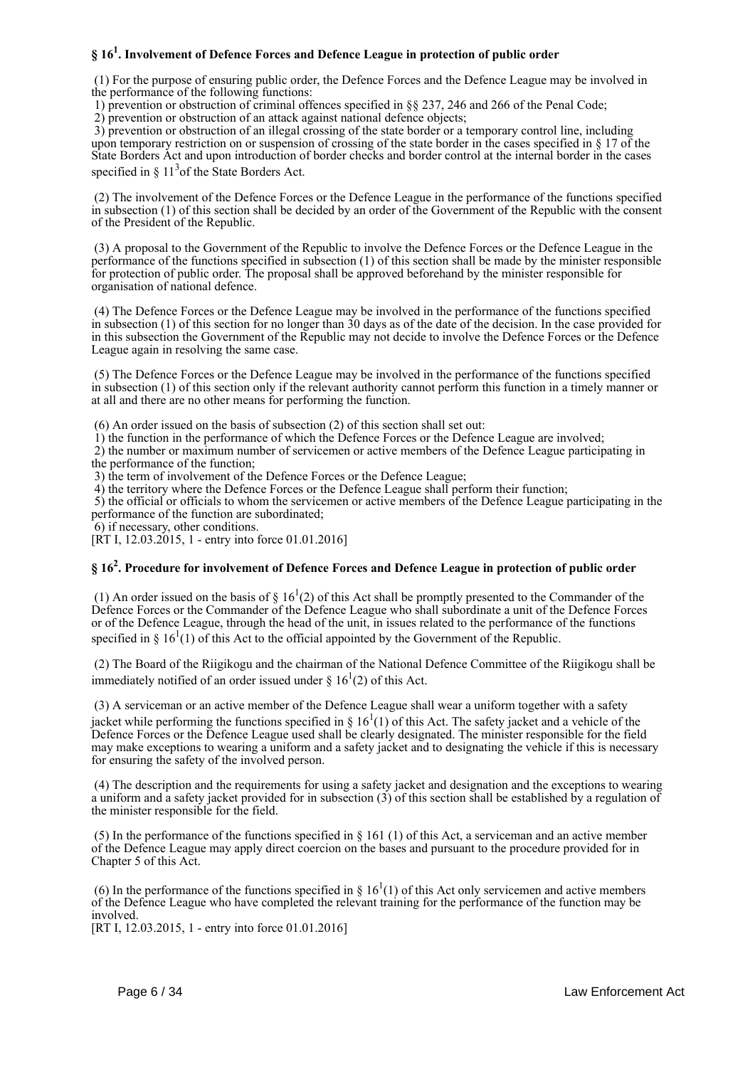## **§ 16<sup>1</sup> . Involvement of Defence Forces and Defence League in protection of public order**

 (1) For the purpose of ensuring public order, the Defence Forces and the Defence League may be involved in the performance of the following functions:

1) prevention or obstruction of criminal offences specified in §§ 237, 246 and 266 of the Penal Code;

2) prevention or obstruction of an attack against national defence objects;

 3) prevention or obstruction of an illegal crossing of the state border or a temporary control line, including upon temporary restriction on or suspension of crossing of the state border in the cases specified in § 17 of the State Borders Act and upon introduction of border checks and border control at the internal border in the cases specified in  $\S 11<sup>3</sup>$  of the State Borders Act.

 (2) The involvement of the Defence Forces or the Defence League in the performance of the functions specified in subsection (1) of this section shall be decided by an order of the Government of the Republic with the consent of the President of the Republic.

 (3) A proposal to the Government of the Republic to involve the Defence Forces or the Defence League in the performance of the functions specified in subsection (1) of this section shall be made by the minister responsible for protection of public order. The proposal shall be approved beforehand by the minister responsible for organisation of national defence.

 (4) The Defence Forces or the Defence League may be involved in the performance of the functions specified in subsection (1) of this section for no longer than 30 days as of the date of the decision. In the case provided for in this subsection the Government of the Republic may not decide to involve the Defence Forces or the Defence League again in resolving the same case.

 (5) The Defence Forces or the Defence League may be involved in the performance of the functions specified in subsection (1) of this section only if the relevant authority cannot perform this function in a timely manner or at all and there are no other means for performing the function.

(6) An order issued on the basis of subsection (2) of this section shall set out:

1) the function in the performance of which the Defence Forces or the Defence League are involved;

 2) the number or maximum number of servicemen or active members of the Defence League participating in the performance of the function;

3) the term of involvement of the Defence Forces or the Defence League;

4) the territory where the Defence Forces or the Defence League shall perform their function;

 5) the official or officials to whom the servicemen or active members of the Defence League participating in the performance of the function are subordinated;

6) if necessary, other conditions.

[RT I, 12.03.2015, 1 - entry into force 01.01.2016]

## **§ 16<sup>2</sup> . Procedure for involvement of Defence Forces and Defence League in protection of public order**

(1) An order issued on the basis of  $\S 16^1(2)$  of this Act shall be promptly presented to the Commander of the Defence Forces or the Commander of the Defence League who shall subordinate a unit of the Defence Forces or of the Defence League, through the head of the unit, in issues related to the performance of the functions specified in §  $16<sup>1</sup>(1)$  of this Act to the official appointed by the Government of the Republic.

 (2) The Board of the Riigikogu and the chairman of the National Defence Committee of the Riigikogu shall be immediately notified of an order issued under  $\S 16^{1}(2)$  of this Act.

 (3) A serviceman or an active member of the Defence League shall wear a uniform together with a safety jacket while performing the functions specified in §  $16<sup>1</sup>(1)$  of this Act. The safety jacket and a vehicle of the Defence Forces or the Defence League used shall be clearly designated. The minister responsible for the field may make exceptions to wearing a uniform and a safety jacket and to designating the vehicle if this is necessary for ensuring the safety of the involved person.

 (4) The description and the requirements for using a safety jacket and designation and the exceptions to wearing a uniform and a safety jacket provided for in subsection (3) of this section shall be established by a regulation of the minister responsible for the field.

 (5) In the performance of the functions specified in § 161 (1) of this Act, a serviceman and an active member of the Defence League may apply direct coercion on the bases and pursuant to the procedure provided for in Chapter 5 of this Act.

(6) In the performance of the functions specified in §  $16<sup>1</sup>(1)$  of this Act only servicemen and active members of the Defence League who have completed the relevant training for the performance of the function may be involved.

[RT I, 12.03.2015, 1 - entry into force 01.01.2016]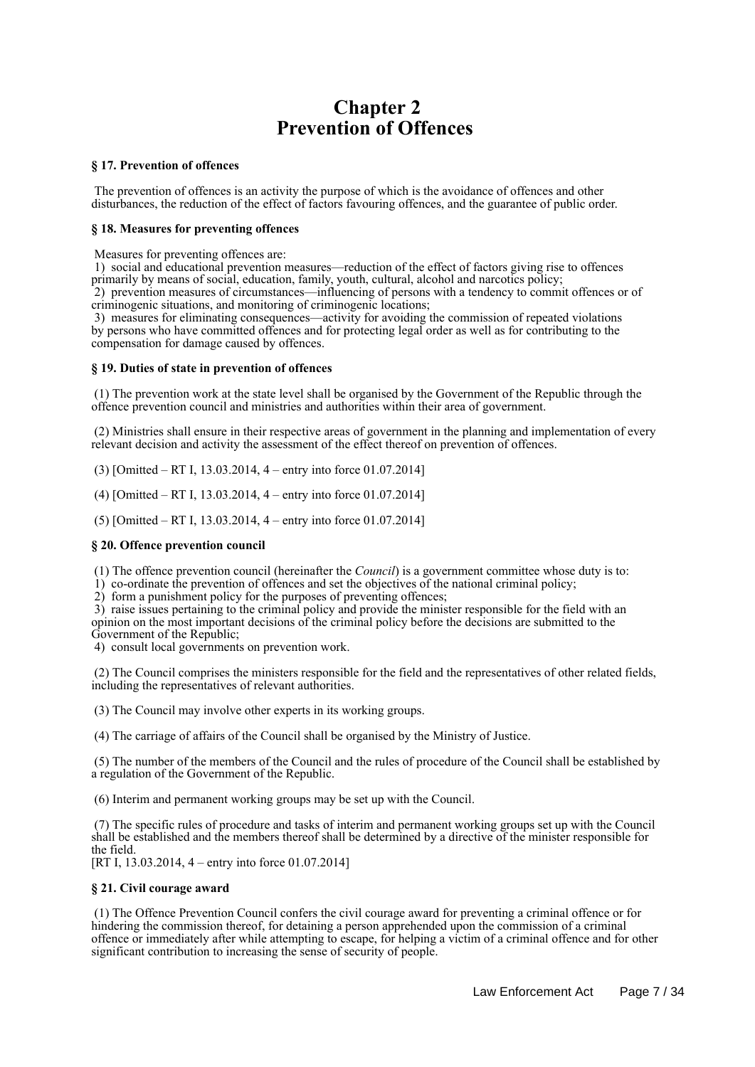# **Chapter 2 Prevention of Offences**

## **§ 17. Prevention of offences**

 The prevention of offences is an activity the purpose of which is the avoidance of offences and other disturbances, the reduction of the effect of factors favouring offences, and the guarantee of public order.

## **§ 18. Measures for preventing offences**

Measures for preventing offences are:

 1) social and educational prevention measures—reduction of the effect of factors giving rise to offences primarily by means of social, education, family, youth, cultural, alcohol and narcotics policy; 2) prevention measures of circumstances—influencing of persons with a tendency to commit offences or of criminogenic situations, and monitoring of criminogenic locations;

 3) measures for eliminating consequences—activity for avoiding the commission of repeated violations by persons who have committed offences and for protecting legal order as well as for contributing to the compensation for damage caused by offences.

### **§ 19. Duties of state in prevention of offences**

 (1) The prevention work at the state level shall be organised by the Government of the Republic through the offence prevention council and ministries and authorities within their area of government.

 (2) Ministries shall ensure in their respective areas of government in the planning and implementation of every relevant decision and activity the assessment of the effect thereof on prevention of offences.

(3) [Omitted – RT I, 13.03.2014, 4 – entry into force 01.07.2014]

(4) [Omitted – RT I, 13.03.2014, 4 – entry into force 01.07.2014]

(5) [Omitted – RT I, 13.03.2014, 4 – entry into force 01.07.2014]

### **§ 20. Offence prevention council**

(1) The offence prevention council (hereinafter the *Council*) is a government committee whose duty is to:

1) co-ordinate the prevention of offences and set the objectives of the national criminal policy;

2) form a punishment policy for the purposes of preventing offences;

 3) raise issues pertaining to the criminal policy and provide the minister responsible for the field with an opinion on the most important decisions of the criminal policy before the decisions are submitted to the Government of the Republic;

4) consult local governments on prevention work.

 (2) The Council comprises the ministers responsible for the field and the representatives of other related fields, including the representatives of relevant authorities.

(3) The Council may involve other experts in its working groups.

(4) The carriage of affairs of the Council shall be organised by the Ministry of Justice.

 (5) The number of the members of the Council and the rules of procedure of the Council shall be established by a regulation of the Government of the Republic.

(6) Interim and permanent working groups may be set up with the Council.

 (7) The specific rules of procedure and tasks of interim and permanent working groups set up with the Council shall be established and the members thereof shall be determined by a directive of the minister responsible for the field.

[RT I, 13.03.2014, 4 – entry into force 01.07.2014]

### **§ 21. Civil courage award**

 (1) The Offence Prevention Council confers the civil courage award for preventing a criminal offence or for hindering the commission thereof, for detaining a person apprehended upon the commission of a criminal offence or immediately after while attempting to escape, for helping a victim of a criminal offence and for other significant contribution to increasing the sense of security of people.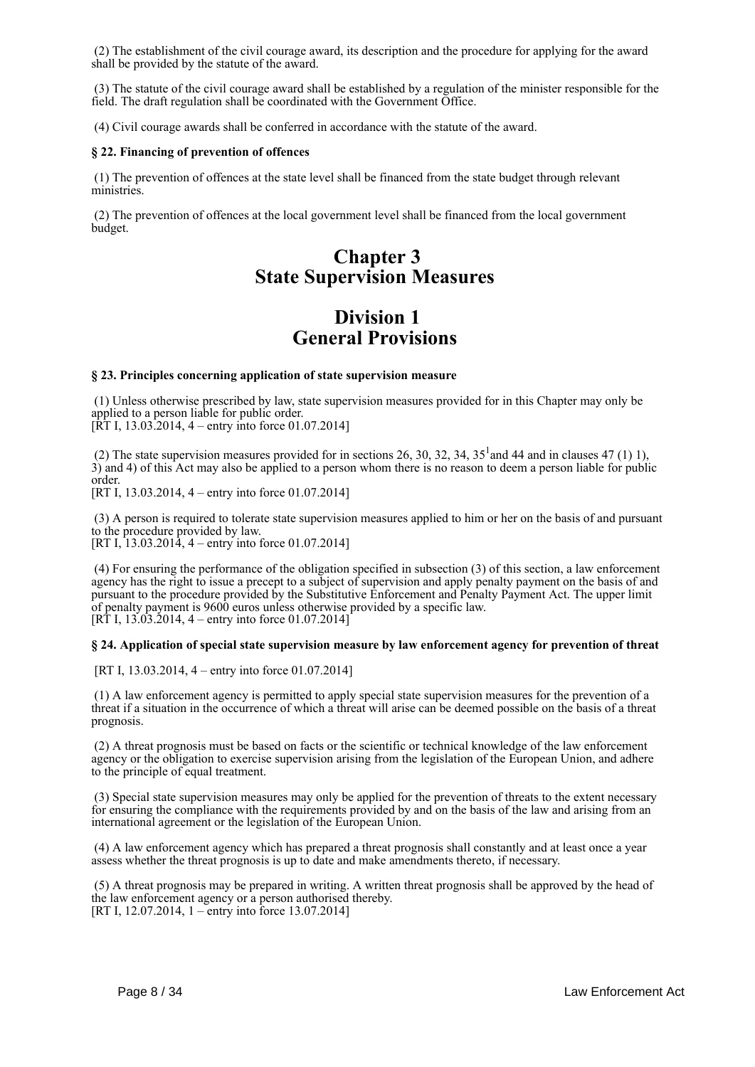(2) The establishment of the civil courage award, its description and the procedure for applying for the award shall be provided by the statute of the award.

 (3) The statute of the civil courage award shall be established by a regulation of the minister responsible for the field. The draft regulation shall be coordinated with the Government Office.

(4) Civil courage awards shall be conferred in accordance with the statute of the award.

## **§ 22. Financing of prevention of offences**

 (1) The prevention of offences at the state level shall be financed from the state budget through relevant ministries.

 (2) The prevention of offences at the local government level shall be financed from the local government budget.

# **Chapter 3 State Supervision Measures**

## **Division 1 General Provisions**

## **§ 23. Principles concerning application of state supervision measure**

 (1) Unless otherwise prescribed by law, state supervision measures provided for in this Chapter may only be applied to a person liable for public order.

[RT I, 13.03.2014, 4 – entry into force 01.07.2014]

(2) The state supervision measures provided for in sections 26, 30, 32, 34,  $35<sup>1</sup>$  and 44 and in clauses 47 (1) 1), 3) and 4) of this Act may also be applied to a person whom there is no reason to deem a person liable for public order.

[RT I, 13.03.2014, 4 – entry into force 01.07.2014]

 (3) A person is required to tolerate state supervision measures applied to him or her on the basis of and pursuant to the procedure provided by law. [RT I, 13.03.2014, 4 – entry into force 01.07.2014]

 (4) For ensuring the performance of the obligation specified in subsection (3) of this section, a law enforcement agency has the right to issue a precept to a subject of supervision and apply penalty payment on the basis of and pursuant to the procedure provided by the Substitutive Enforcement and Penalty Payment Act. The upper limit of penalty payment is 9600 euros unless otherwise provided by a specific law.  $[RT I, 13.03.2014, 4 -$  entry into force 01.07.2014]

## **§ 24. Application of special state supervision measure by law enforcement agency for prevention of threat**

[RT I, 13.03.2014, 4 – entry into force 01.07.2014]

 (1) A law enforcement agency is permitted to apply special state supervision measures for the prevention of a threat if a situation in the occurrence of which a threat will arise can be deemed possible on the basis of a threat prognosis.

 (2) A threat prognosis must be based on facts or the scientific or technical knowledge of the law enforcement agency or the obligation to exercise supervision arising from the legislation of the European Union, and adhere to the principle of equal treatment.

 (3) Special state supervision measures may only be applied for the prevention of threats to the extent necessary for ensuring the compliance with the requirements provided by and on the basis of the law and arising from an international agreement or the legislation of the European Union.

 (4) A law enforcement agency which has prepared a threat prognosis shall constantly and at least once a year assess whether the threat prognosis is up to date and make amendments thereto, if necessary.

 (5) A threat prognosis may be prepared in writing. A written threat prognosis shall be approved by the head of the law enforcement agency or a person authorised thereby. [RT I, 12.07.2014, 1 – entry into force 13.07.2014]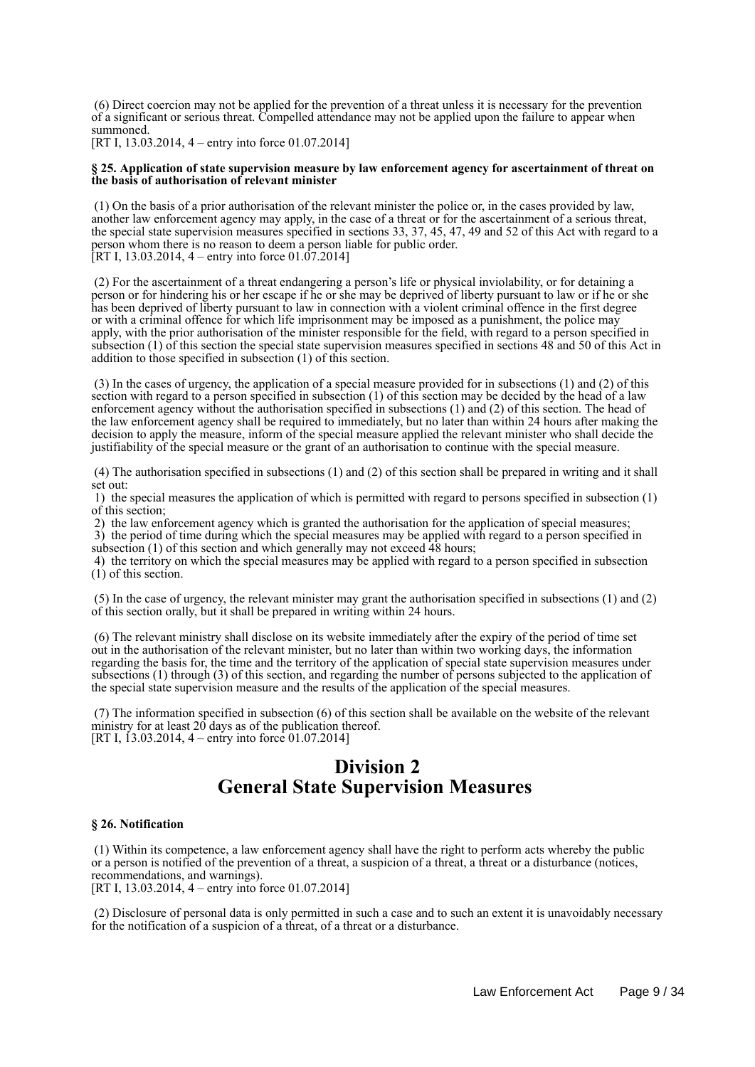(6) Direct coercion may not be applied for the prevention of a threat unless it is necessary for the prevention of a significant or serious threat. Compelled attendance may not be applied upon the failure to appear when summoned.

[RT I, 13.03.2014, 4 – entry into force 01.07.2014]

### **§ 25. Application of state supervision measure by law enforcement agency for ascertainment of threat on the basis of authorisation of relevant minister**

 (1) On the basis of a prior authorisation of the relevant minister the police or, in the cases provided by law, another law enforcement agency may apply, in the case of a threat or for the ascertainment of a serious threat, the special state supervision measures specified in sections 33, 37, 45, 47, 49 and 52 of this Act with regard to a person whom there is no reason to deem a person liable for public order. [RT I, 13.03.2014, 4 – entry into force 01.07.2014]

 (2) For the ascertainment of a threat endangering a person's life or physical inviolability, or for detaining a person or for hindering his or her escape if he or she may be deprived of liberty pursuant to law or if he or she has been deprived of liberty pursuant to law in connection with a violent criminal offence in the first degree or with a criminal offence for which life imprisonment may be imposed as a punishment, the police may apply, with the prior authorisation of the minister responsible for the field, with regard to a person specified in subsection (1) of this section the special state supervision measures specified in sections 48 and 50 of this Act in addition to those specified in subsection (1) of this section.

 (3) In the cases of urgency, the application of a special measure provided for in subsections (1) and (2) of this section with regard to a person specified in subsection (1) of this section may be decided by the head of a law enforcement agency without the authorisation specified in subsections (1) and (2) of this section. The head of the law enforcement agency shall be required to immediately, but no later than within 24 hours after making the decision to apply the measure, inform of the special measure applied the relevant minister who shall decide the justifiability of the special measure or the grant of an authorisation to continue with the special measure.

 (4) The authorisation specified in subsections (1) and (2) of this section shall be prepared in writing and it shall set out:

 1) the special measures the application of which is permitted with regard to persons specified in subsection (1) of this section;

 2) the law enforcement agency which is granted the authorisation for the application of special measures; 3) the period of time during which the special measures may be applied with regard to a person specified in subsection (1) of this section and which generally may not exceed 48 hours;

 4) the territory on which the special measures may be applied with regard to a person specified in subsection (1) of this section.

 (5) In the case of urgency, the relevant minister may grant the authorisation specified in subsections (1) and (2) of this section orally, but it shall be prepared in writing within 24 hours.

 (6) The relevant ministry shall disclose on its website immediately after the expiry of the period of time set out in the authorisation of the relevant minister, but no later than within two working days, the information regarding the basis for, the time and the territory of the application of special state supervision measures under subsections (1) through (3) of this section, and regarding the number of persons subjected to the application of the special state supervision measure and the results of the application of the special measures.

 (7) The information specified in subsection (6) of this section shall be available on the website of the relevant ministry for at least 20 days as of the publication thereof. [RT I, 13.03.2014, 4 – entry into force 01.07.2014]

# **Division 2 General State Supervision Measures**

### **§ 26. Notification**

 (1) Within its competence, a law enforcement agency shall have the right to perform acts whereby the public or a person is notified of the prevention of a threat, a suspicion of a threat, a threat or a disturbance (notices, recommendations, and warnings).

[RT I, 13.03.2014, 4 – entry into force 01.07.2014]

 (2) Disclosure of personal data is only permitted in such a case and to such an extent it is unavoidably necessary for the notification of a suspicion of a threat, of a threat or a disturbance.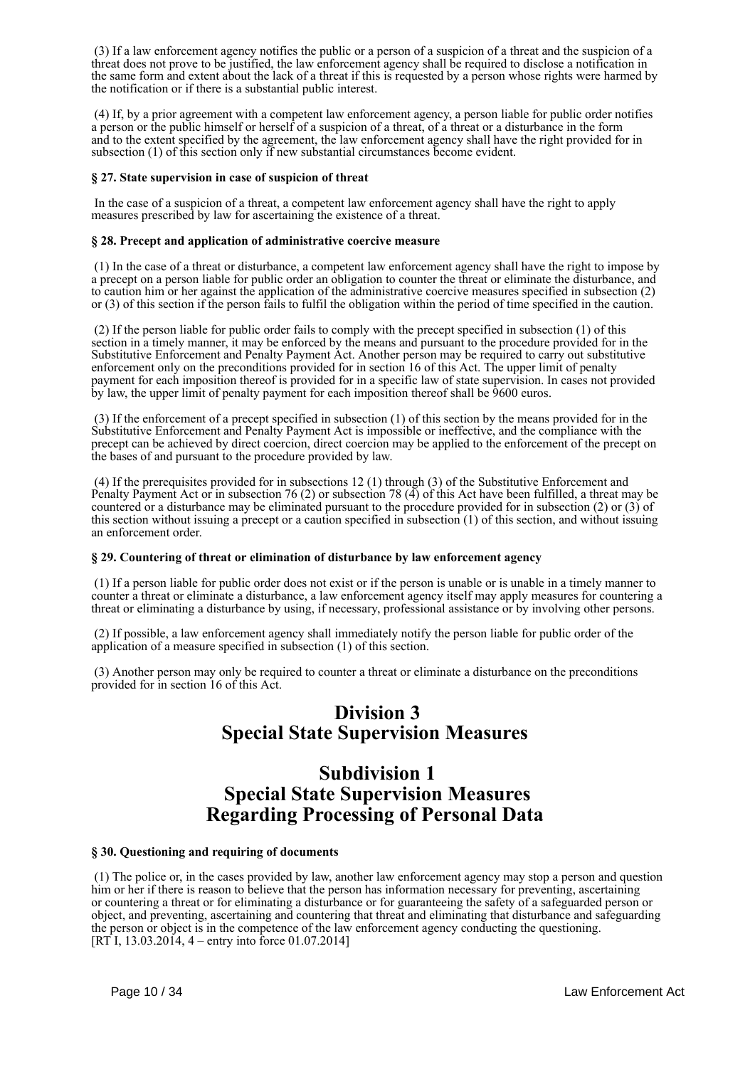(3) If a law enforcement agency notifies the public or a person of a suspicion of a threat and the suspicion of a threat does not prove to be justified, the law enforcement agency shall be required to disclose a notification in the same form and extent about the lack of a threat if this is requested by a person whose rights were harmed by the notification or if there is a substantial public interest.

 (4) If, by a prior agreement with a competent law enforcement agency, a person liable for public order notifies a person or the public himself or herself of a suspicion of a threat, of a threat or a disturbance in the form and to the extent specified by the agreement, the law enforcement agency shall have the right provided for in subsection (1) of this section only if new substantial circumstances become evident.

### **§ 27. State supervision in case of suspicion of threat**

 In the case of a suspicion of a threat, a competent law enforcement agency shall have the right to apply measures prescribed by law for ascertaining the existence of a threat.

## **§ 28. Precept and application of administrative coercive measure**

 (1) In the case of a threat or disturbance, a competent law enforcement agency shall have the right to impose by a precept on a person liable for public order an obligation to counter the threat or eliminate the disturbance, and to caution him or her against the application of the administrative coercive measures specified in subsection (2) or (3) of this section if the person fails to fulfil the obligation within the period of time specified in the caution.

 (2) If the person liable for public order fails to comply with the precept specified in subsection (1) of this section in a timely manner, it may be enforced by the means and pursuant to the procedure provided for in the Substitutive Enforcement and Penalty Payment Act. Another person may be required to carry out substitutive enforcement only on the preconditions provided for in section 16 of this Act. The upper limit of penalty payment for each imposition thereof is provided for in a specific law of state supervision. In cases not provided by law, the upper limit of penalty payment for each imposition thereof shall be 9600 euros.

 (3) If the enforcement of a precept specified in subsection (1) of this section by the means provided for in the Substitutive Enforcement and Penalty Payment Act is impossible or ineffective, and the compliance with the precept can be achieved by direct coercion, direct coercion may be applied to the enforcement of the precept on the bases of and pursuant to the procedure provided by law.

 (4) If the prerequisites provided for in subsections 12 (1) through (3) of the Substitutive Enforcement and Penalty Payment Act or in subsection 76 (2) or subsection 78 (4) of this Act have been fulfilled, a threat may be countered or a disturbance may be eliminated pursuant to the procedure provided for in subsection (2) or (3) of this section without issuing a precept or a caution specified in subsection  $(1)$  of this section, and without issuing an enforcement order.

### **§ 29. Countering of threat or elimination of disturbance by law enforcement agency**

 (1) If a person liable for public order does not exist or if the person is unable or is unable in a timely manner to counter a threat or eliminate a disturbance, a law enforcement agency itself may apply measures for countering a threat or eliminating a disturbance by using, if necessary, professional assistance or by involving other persons.

 (2) If possible, a law enforcement agency shall immediately notify the person liable for public order of the application of a measure specified in subsection (1) of this section.

 (3) Another person may only be required to counter a threat or eliminate a disturbance on the preconditions provided for in section 16 of this Act.

# **Division 3 Special State Supervision Measures**

## **Subdivision 1 Special State Supervision Measures Regarding Processing of Personal Data**

## **§ 30. Questioning and requiring of documents**

 (1) The police or, in the cases provided by law, another law enforcement agency may stop a person and question him or her if there is reason to believe that the person has information necessary for preventing, ascertaining or countering a threat or for eliminating a disturbance or for guaranteeing the safety of a safeguarded person or object, and preventing, ascertaining and countering that threat and eliminating that disturbance and safeguarding the person or object is in the competence of the law enforcement agency conducting the questioning.  $[RT<sup>†</sup>$ I, 13.03.201<sup> $4$ </sup>, 4 – entry into force 01.07.2014]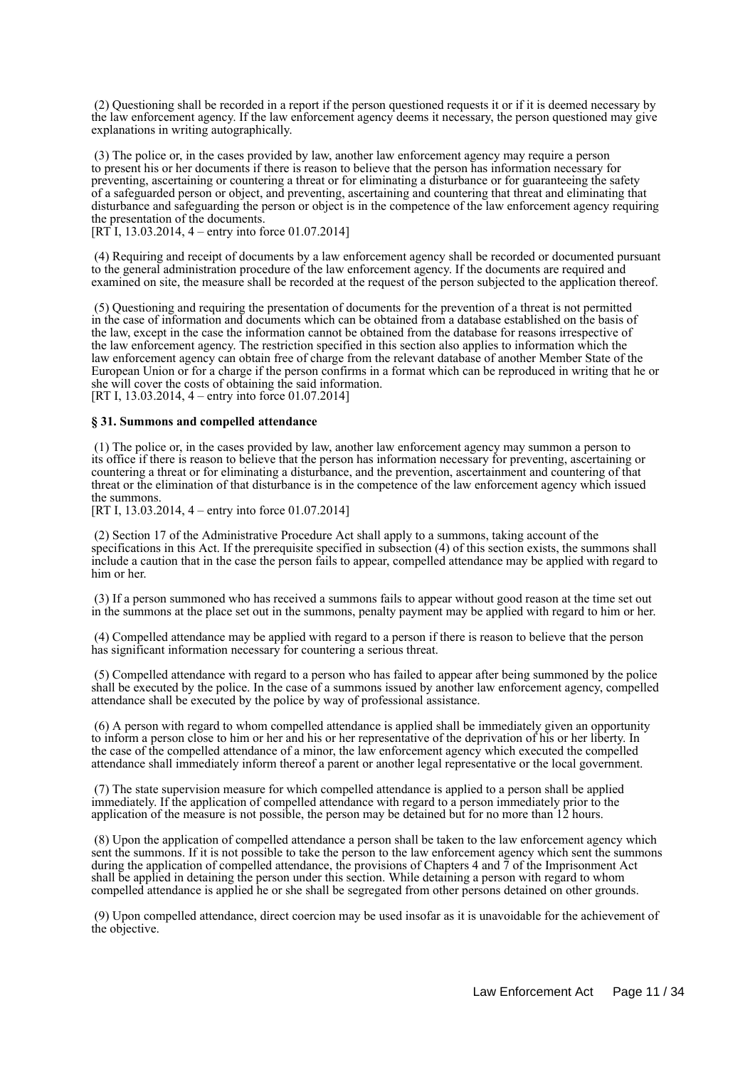(2) Questioning shall be recorded in a report if the person questioned requests it or if it is deemed necessary by the law enforcement agency. If the law enforcement agency deems it necessary, the person questioned may give explanations in writing autographically.

 (3) The police or, in the cases provided by law, another law enforcement agency may require a person to present his or her documents if there is reason to believe that the person has information necessary for preventing, ascertaining or countering a threat or for eliminating a disturbance or for guaranteeing the safety of a safeguarded person or object, and preventing, ascertaining and countering that threat and eliminating that disturbance and safeguarding the person or object is in the competence of the law enforcement agency requiring the presentation of the documents.

 $[RT\overline{1}, 13.03.2014, 4 - entry$  into force 01.07.2014]

 (4) Requiring and receipt of documents by a law enforcement agency shall be recorded or documented pursuant to the general administration procedure of the law enforcement agency. If the documents are required and examined on site, the measure shall be recorded at the request of the person subjected to the application thereof.

 (5) Questioning and requiring the presentation of documents for the prevention of a threat is not permitted in the case of information and documents which can be obtained from a database established on the basis of the law, except in the case the information cannot be obtained from the database for reasons irrespective of the law enforcement agency. The restriction specified in this section also applies to information which the law enforcement agency can obtain free of charge from the relevant database of another Member State of the European Union or for a charge if the person confirms in a format which can be reproduced in writing that he or she will cover the costs of obtaining the said information. [RT I, 13.03.2014, 4 – entry into force 01.07.2014]

#### **§ 31. Summons and compelled attendance**

 (1) The police or, in the cases provided by law, another law enforcement agency may summon a person to its office if there is reason to believe that the person has information necessary for preventing, ascertaining or countering a threat or for eliminating a disturbance, and the prevention, ascertainment and countering of that threat or the elimination of that disturbance is in the competence of the law enforcement agency which issued the summons.

[RT I, 13.03.2014, 4 – entry into force 01.07.2014]

 (2) Section 17 of the Administrative Procedure Act shall apply to a summons, taking account of the specifications in this Act. If the prerequisite specified in subsection (4) of this section exists, the summons shall include a caution that in the case the person fails to appear, compelled attendance may be applied with regard to him or her.

 (3) If a person summoned who has received a summons fails to appear without good reason at the time set out in the summons at the place set out in the summons, penalty payment may be applied with regard to him or her.

 (4) Compelled attendance may be applied with regard to a person if there is reason to believe that the person has significant information necessary for countering a serious threat.

 (5) Compelled attendance with regard to a person who has failed to appear after being summoned by the police shall be executed by the police. In the case of a summons issued by another law enforcement agency, compelled attendance shall be executed by the police by way of professional assistance.

 (6) A person with regard to whom compelled attendance is applied shall be immediately given an opportunity to inform a person close to him or her and his or her representative of the deprivation of his or her liberty. In the case of the compelled attendance of a minor, the law enforcement agency which executed the compelled attendance shall immediately inform thereof a parent or another legal representative or the local government.

 (7) The state supervision measure for which compelled attendance is applied to a person shall be applied immediately. If the application of compelled attendance with regard to a person immediately prior to the application of the measure is not possible, the person may be detained but for no more than 12 hours.

 (8) Upon the application of compelled attendance a person shall be taken to the law enforcement agency which sent the summons. If it is not possible to take the person to the law enforcement agency which sent the summons during the application of compelled attendance, the provisions of Chapters 4 and 7 of the Imprisonment Act shall be applied in detaining the person under this section. While detaining a person with regard to whom compelled attendance is applied he or she shall be segregated from other persons detained on other grounds.

 (9) Upon compelled attendance, direct coercion may be used insofar as it is unavoidable for the achievement of the objective.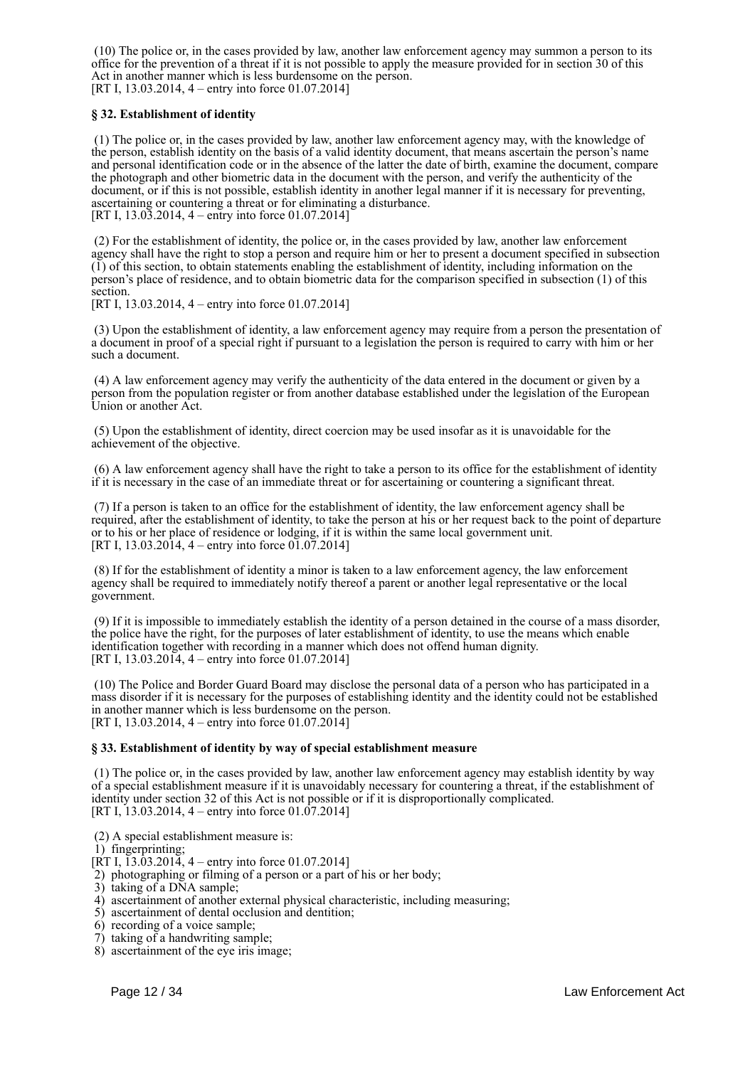(10) The police or, in the cases provided by law, another law enforcement agency may summon a person to its office for the prevention of a threat if it is not possible to apply the measure provided for in section 30 of this Act in another manner which is less burdensome on the person. [RT I, 13.03.2014, 4 – entry into force 01.07.2014]

## **§ 32. Establishment of identity**

 (1) The police or, in the cases provided by law, another law enforcement agency may, with the knowledge of the person, establish identity on the basis of a valid identity document, that means ascertain the person's name and personal identification code or in the absence of the latter the date of birth, examine the document, compare the photograph and other biometric data in the document with the person, and verify the authenticity of the document, or if this is not possible, establish identity in another legal manner if it is necessary for preventing, ascertaining or countering a threat or for eliminating a disturbance. [RT I, 13.03.2014, 4 – entry into force 01.07.2014]

 (2) For the establishment of identity, the police or, in the cases provided by law, another law enforcement agency shall have the right to stop a person and require him or her to present a document specified in subsection (1) of this section, to obtain statements enabling the establishment of identity, including information on the person's place of residence, and to obtain biometric data for the comparison specified in subsection (1) of this section.

[RT I, 13.03.2014, 4 – entry into force 01.07.2014]

 (3) Upon the establishment of identity, a law enforcement agency may require from a person the presentation of a document in proof of a special right if pursuant to a legislation the person is required to carry with him or her such a document.

 (4) A law enforcement agency may verify the authenticity of the data entered in the document or given by a person from the population register or from another database established under the legislation of the European Union or another Act.

 (5) Upon the establishment of identity, direct coercion may be used insofar as it is unavoidable for the achievement of the objective.

 (6) A law enforcement agency shall have the right to take a person to its office for the establishment of identity if it is necessary in the case of an immediate threat or for ascertaining or countering a significant threat.

 (7) If a person is taken to an office for the establishment of identity, the law enforcement agency shall be required, after the establishment of identity, to take the person at his or her request back to the point of departure or to his or her place of residence or lodging, if it is within the same local government unit. [RT I, 13.03.2014, 4 – entry into force 01.07.2014]

 (8) If for the establishment of identity a minor is taken to a law enforcement agency, the law enforcement agency shall be required to immediately notify thereof a parent or another legal representative or the local government.

 (9) If it is impossible to immediately establish the identity of a person detained in the course of a mass disorder, the police have the right, for the purposes of later establishment of identity, to use the means which enable identification together with recording in a manner which does not offend human dignity. [RT I, 13.03.2014, 4 – entry into force 01.07.2014]

 (10) The Police and Border Guard Board may disclose the personal data of a person who has participated in a mass disorder if it is necessary for the purposes of establishing identity and the identity could not be established in another manner which is less burdensome on the person. [RT I, 13.03.2014, 4 – entry into force 01.07.2014]

### **§ 33. Establishment of identity by way of special establishment measure**

 (1) The police or, in the cases provided by law, another law enforcement agency may establish identity by way of a special establishment measure if it is unavoidably necessary for countering a threat, if the establishment of identity under section 32 of this Act is not possible or if it is disproportionally complicated. [RT I, 13.03.2014, 4 – entry into force 01.07.2014]

- (2) A special establishment measure is:
- 1) fingerprinting;
- $[RT I, I3.03.2014, 4 entry into force 01.07.2014]$
- 2) photographing or filming of a person or a part of his or her body;
- 3) taking of a DNA sample;
- 4) ascertainment of another external physical characteristic, including measuring;
- 5) ascertainment of dental occlusion and dentition;
- 6) recording of a voice sample;
- 7) taking of a handwriting sample;
- 8) ascertainment of the eye iris image;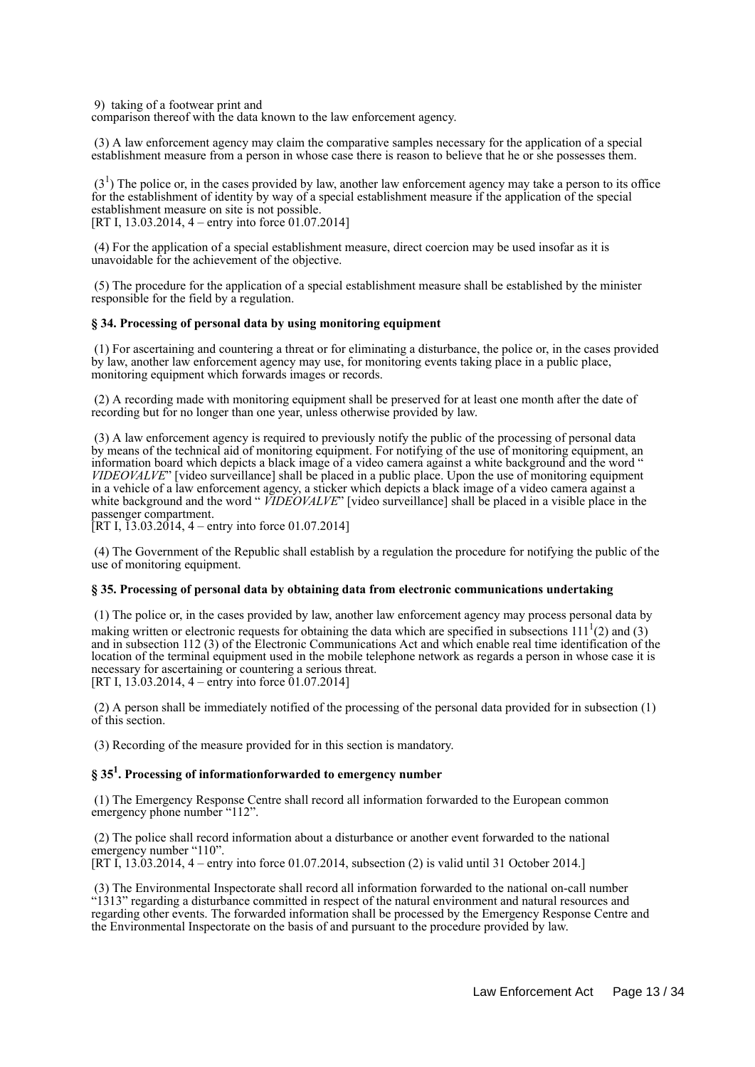9) taking of a footwear print and

comparison thereof with the data known to the law enforcement agency.

 (3) A law enforcement agency may claim the comparative samples necessary for the application of a special establishment measure from a person in whose case there is reason to believe that he or she possesses them.

 $(3<sup>1</sup>)$  The police or, in the cases provided by law, another law enforcement agency may take a person to its office for the establishment of identity by way of a special establishment measure if the application of the special establishment measure on site is not possible. [RT I, 13.03.2014, 4 – entry into force 01.07.2014]

 (4) For the application of a special establishment measure, direct coercion may be used insofar as it is unavoidable for the achievement of the objective.

 (5) The procedure for the application of a special establishment measure shall be established by the minister responsible for the field by a regulation.

### **§ 34. Processing of personal data by using monitoring equipment**

 (1) For ascertaining and countering a threat or for eliminating a disturbance, the police or, in the cases provided by law, another law enforcement agency may use, for monitoring events taking place in a public place, monitoring equipment which forwards images or records.

 (2) A recording made with monitoring equipment shall be preserved for at least one month after the date of recording but for no longer than one year, unless otherwise provided by law.

 (3) A law enforcement agency is required to previously notify the public of the processing of personal data by means of the technical aid of monitoring equipment. For notifying of the use of monitoring equipment, an information board which depicts a black image of a video camera against a white background and the word " *VIDEOVALVE*" [video surveillance] shall be placed in a public place. Upon the use of monitoring equipment in a vehicle of a law enforcement agency, a sticker which depicts a black image of a video camera against a white background and the word "*VIDEOVALVE*" [video surveillance] shall be placed in a visible place in the passenger compartment.

[RT I, 13.03.2014, 4 – entry into force 01.07.2014]

 (4) The Government of the Republic shall establish by a regulation the procedure for notifying the public of the use of monitoring equipment.

### **§ 35. Processing of personal data by obtaining data from electronic communications undertaking**

 (1) The police or, in the cases provided by law, another law enforcement agency may process personal data by making written or electronic requests for obtaining the data which are specified in subsections  $111<sup>1</sup>(2)$  and (3) and in subsection 112 (3) of the Electronic Communications Act and which enable real time identification of the location of the terminal equipment used in the mobile telephone network as regards a person in whose case it is necessary for ascertaining or countering a serious threat. [RT I,  $13.03.2014$ ,  $4 -$  entry into force 01.07.2014]

 (2) A person shall be immediately notified of the processing of the personal data provided for in subsection (1) of this section.

(3) Recording of the measure provided for in this section is mandatory.

## **§ 35<sup>1</sup> . Processing of informationforwarded to emergency number**

 (1) The Emergency Response Centre shall record all information forwarded to the European common emergency phone number "112".

 (2) The police shall record information about a disturbance or another event forwarded to the national emergency number "110".

[RT I, 13.03.2014, 4 – entry into force 01.07.2014, subsection (2) is valid until 31 October 2014.]

 (3) The Environmental Inspectorate shall record all information forwarded to the national on-call number "1313" regarding a disturbance committed in respect of the natural environment and natural resources and regarding other events. The forwarded information shall be processed by the Emergency Response Centre and the Environmental Inspectorate on the basis of and pursuant to the procedure provided by law.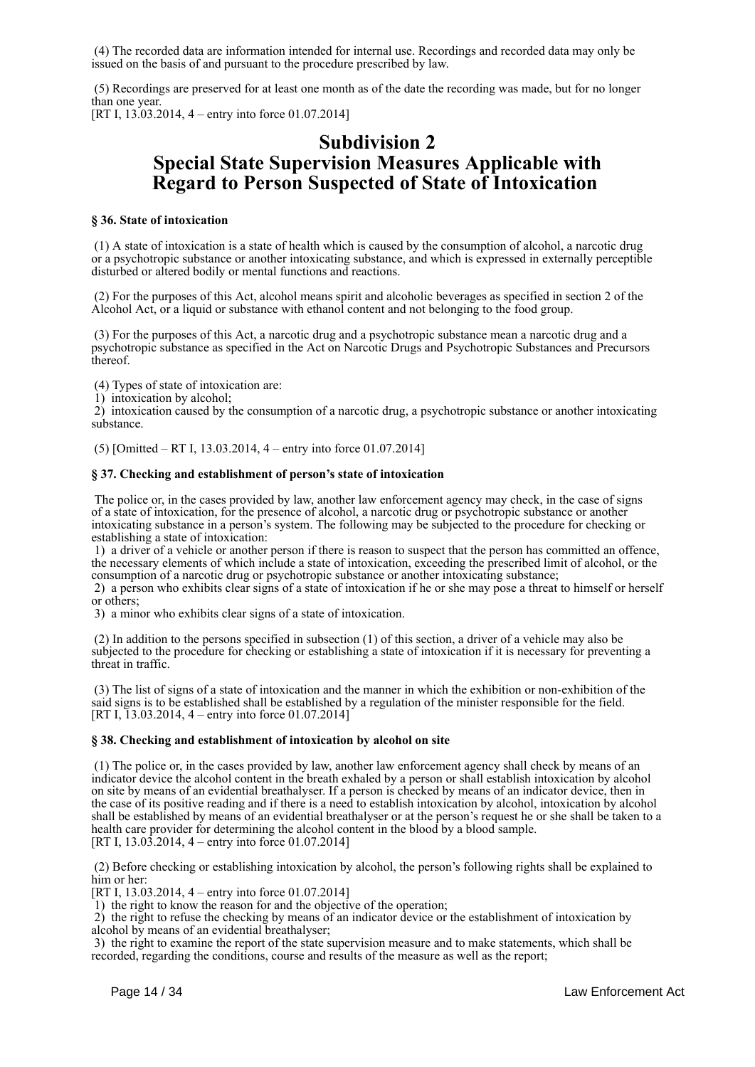(4) The recorded data are information intended for internal use. Recordings and recorded data may only be issued on the basis of and pursuant to the procedure prescribed by law.

 (5) Recordings are preserved for at least one month as of the date the recording was made, but for no longer than one year. [RT I, 13.03.2014, 4 – entry into force 01.07.2014]

# **Subdivision 2 Special State Supervision Measures Applicable with Regard to Person Suspected of State of Intoxication**

### **§ 36. State of intoxication**

 (1) A state of intoxication is a state of health which is caused by the consumption of alcohol, a narcotic drug or a psychotropic substance or another intoxicating substance, and which is expressed in externally perceptible disturbed or altered bodily or mental functions and reactions.

 (2) For the purposes of this Act, alcohol means spirit and alcoholic beverages as specified in section 2 of the Alcohol Act, or a liquid or substance with ethanol content and not belonging to the food group.

 (3) For the purposes of this Act, a narcotic drug and a psychotropic substance mean a narcotic drug and a psychotropic substance as specified in the Act on Narcotic Drugs and Psychotropic Substances and Precursors thereof.

(4) Types of state of intoxication are:

1) intoxication by alcohol;

 2) intoxication caused by the consumption of a narcotic drug, a psychotropic substance or another intoxicating substance.

(5) [Omitted – RT I, 13.03.2014, 4 – entry into force 01.07.2014]

### **§ 37. Checking and establishment of person's state of intoxication**

 The police or, in the cases provided by law, another law enforcement agency may check, in the case of signs of a state of intoxication, for the presence of alcohol, a narcotic drug or psychotropic substance or another intoxicating substance in a person's system. The following may be subjected to the procedure for checking or establishing a state of intoxication:

 1) a driver of a vehicle or another person if there is reason to suspect that the person has committed an offence, the necessary elements of which include a state of intoxication, exceeding the prescribed limit of alcohol, or the consumption of a narcotic drug or psychotropic substance or another intoxicating substance;

 2) a person who exhibits clear signs of a state of intoxication if he or she may pose a threat to himself or herself or others;

3) a minor who exhibits clear signs of a state of intoxication.

 (2) In addition to the persons specified in subsection (1) of this section, a driver of a vehicle may also be subjected to the procedure for checking or establishing a state of intoxication if it is necessary for preventing a threat in traffic.

 (3) The list of signs of a state of intoxication and the manner in which the exhibition or non-exhibition of the said signs is to be established shall be established by a regulation of the minister responsible for the field. [RT I, 13.03.2014, 4 – entry into force 01.07.2014]

## **§ 38. Checking and establishment of intoxication by alcohol on site**

 (1) The police or, in the cases provided by law, another law enforcement agency shall check by means of an indicator device the alcohol content in the breath exhaled by a person or shall establish intoxication by alcohol on site by means of an evidential breathalyser. If a person is checked by means of an indicator device, then in the case of its positive reading and if there is a need to establish intoxication by alcohol, intoxication by alcohol shall be established by means of an evidential breathalyser or at the person's request he or she shall be taken to a health care provider for determining the alcohol content in the blood by a blood sample. [RT I, 13.03.2014, 4 – entry into force 01.07.2014]

 (2) Before checking or establishing intoxication by alcohol, the person's following rights shall be explained to him or her:

[RT I, 13.03.2014, 4 – entry into force 01.07.2014]

1) the right to know the reason for and the objective of the operation;

 2) the right to refuse the checking by means of an indicator device or the establishment of intoxication by alcohol by means of an evidential breathalyser;

 3) the right to examine the report of the state supervision measure and to make statements, which shall be recorded, regarding the conditions, course and results of the measure as well as the report;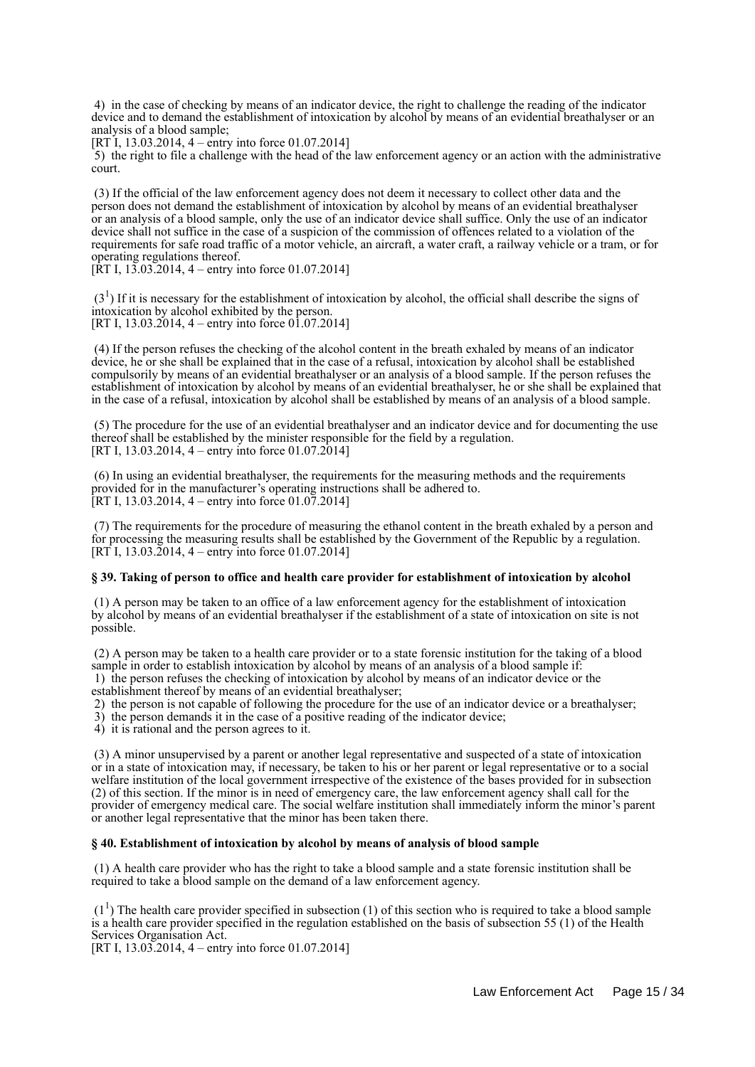4) in the case of checking by means of an indicator device, the right to challenge the reading of the indicator device and to demand the establishment of intoxication by alcohol by means of an evidential breathalyser or an analysis of a blood sample;

[RT I, 13.03.2014, 4 – entry into force 01.07.2014]

 5) the right to file a challenge with the head of the law enforcement agency or an action with the administrative court.

 (3) If the official of the law enforcement agency does not deem it necessary to collect other data and the person does not demand the establishment of intoxication by alcohol by means of an evidential breathalyser or an analysis of a blood sample, only the use of an indicator device shall suffice. Only the use of an indicator device shall not suffice in the case of a suspicion of the commission of offences related to a violation of the requirements for safe road traffic of a motor vehicle, an aircraft, a water craft, a railway vehicle or a tram, or for operating regulations thereof.

 $[\hat{R}T I, 13.03.2014, 4 - entry into force 01.07.2014]$ 

 $(3<sup>1</sup>)$  If it is necessary for the establishment of intoxication by alcohol, the official shall describe the signs of intoxication by alcohol exhibited by the person. [RT I, 13.03.2014, 4 – entry into force 01.07.2014]

 (4) If the person refuses the checking of the alcohol content in the breath exhaled by means of an indicator device, he or she shall be explained that in the case of a refusal, intoxication by alcohol shall be established compulsorily by means of an evidential breathalyser or an analysis of a blood sample. If the person refuses the establishment of intoxication by alcohol by means of an evidential breathalyser, he or she shall be explained that in the case of a refusal, intoxication by alcohol shall be established by means of an analysis of a blood sample.

 (5) The procedure for the use of an evidential breathalyser and an indicator device and for documenting the use thereof shall be established by the minister responsible for the field by a regulation. [RT I, 13.03.2014, 4 – entry into force 01.07.2014]

 (6) In using an evidential breathalyser, the requirements for the measuring methods and the requirements provided for in the manufacturer's operating instructions shall be adhered to. [RT I, 13.03.2014, 4 – entry into force 01.07.2014]

 (7) The requirements for the procedure of measuring the ethanol content in the breath exhaled by a person and for processing the measuring results shall be established by the Government of the Republic by a regulation. [RT I, 13.03.2014, 4 – entry into force 01.07.2014]

## **§ 39. Taking of person to office and health care provider for establishment of intoxication by alcohol**

 (1) A person may be taken to an office of a law enforcement agency for the establishment of intoxication by alcohol by means of an evidential breathalyser if the establishment of a state of intoxication on site is not possible.

 (2) A person may be taken to a health care provider or to a state forensic institution for the taking of a blood sample in order to establish intoxication by alcohol by means of an analysis of a blood sample if: 1) the person refuses the checking of intoxication by alcohol by means of an indicator device or the

- establishment thereof by means of an evidential breathalyser;
- 2) the person is not capable of following the procedure for the use of an indicator device or a breathalyser;
- 3) the person demands it in the case of a positive reading of the indicator device;
- 4) it is rational and the person agrees to it.

 (3) A minor unsupervised by a parent or another legal representative and suspected of a state of intoxication or in a state of intoxication may, if necessary, be taken to his or her parent or legal representative or to a social welfare institution of the local government irrespective of the existence of the bases provided for in subsection (2) of this section. If the minor is in need of emergency care, the law enforcement agency shall call for the provider of emergency medical care. The social welfare institution shall immediately inform the minor's parent or another legal representative that the minor has been taken there.

### **§ 40. Establishment of intoxication by alcohol by means of analysis of blood sample**

 (1) A health care provider who has the right to take a blood sample and a state forensic institution shall be required to take a blood sample on the demand of a law enforcement agency.

 $(1<sup>1</sup>)$  The health care provider specified in subsection (1) of this section who is required to take a blood sample is a health care provider specified in the regulation established on the basis of subsection 55 (1) of the Health Services Organisation Act.

[RT I, 13.03.2014, 4 – entry into force 01.07.2014]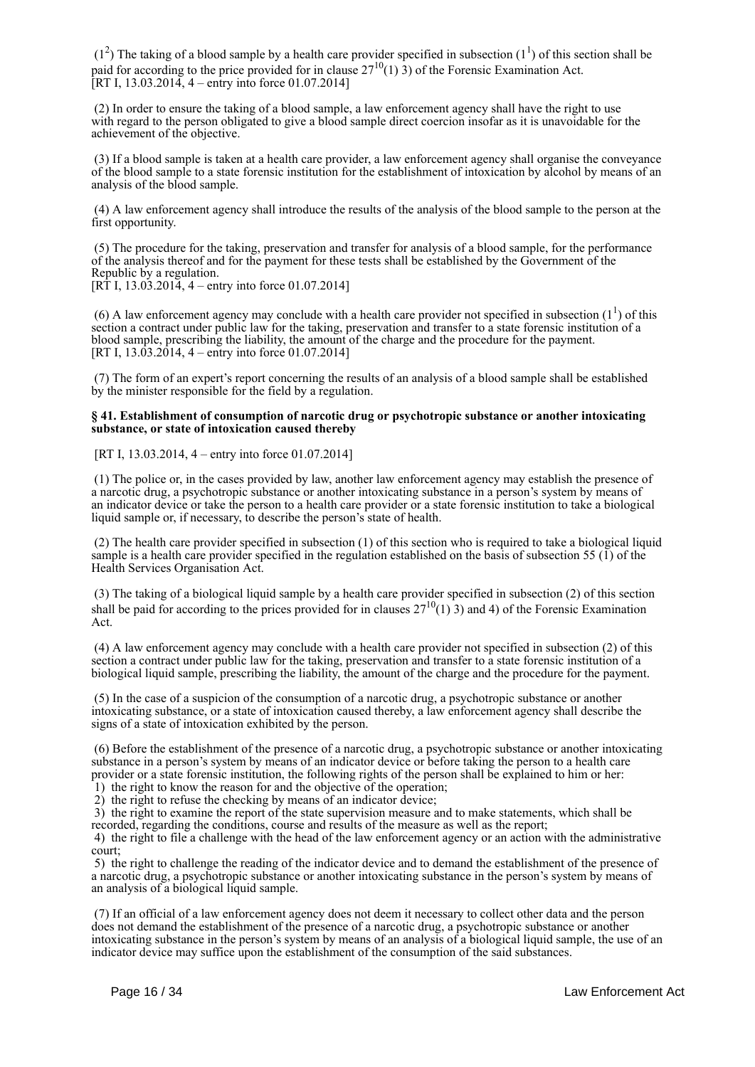$(1<sup>2</sup>)$  The taking of a blood sample by a health care provider specified in subsection  $(1<sup>1</sup>)$  of this section shall be paid for according to the price provided for in clause  $27^{10}(1)$  3) of the Forensic Examination Act.  $[RT I, 13.03.2014, 4 - entry into force 01.07.2014]$ 

 (2) In order to ensure the taking of a blood sample, a law enforcement agency shall have the right to use with regard to the person obligated to give a blood sample direct coercion insofar as it is unavoidable for the achievement of the objective.

 (3) If a blood sample is taken at a health care provider, a law enforcement agency shall organise the conveyance of the blood sample to a state forensic institution for the establishment of intoxication by alcohol by means of an analysis of the blood sample.

 (4) A law enforcement agency shall introduce the results of the analysis of the blood sample to the person at the first opportunity.

 (5) The procedure for the taking, preservation and transfer for analysis of a blood sample, for the performance of the analysis thereof and for the payment for these tests shall be established by the Government of the Republic by a regulation.

 $[RT I, 13.03.2014, 4 - entry into force 01.07.2014]$ 

(6) A law enforcement agency may conclude with a health care provider not specified in subsection  $(1^1)$  of this section a contract under public law for the taking, preservation and transfer to a state forensic institution of a blood sample, prescribing the liability, the amount of the charge and the procedure for the payment. [RT I,  $13.03.2014$ ,  $4 -$  entry into force 01.07.2014]

 (7) The form of an expert's report concerning the results of an analysis of a blood sample shall be established by the minister responsible for the field by a regulation.

### **§ 41. Establishment of consumption of narcotic drug or psychotropic substance or another intoxicating substance, or state of intoxication caused thereby**

[RT I, 13.03.2014, 4 – entry into force 01.07.2014]

 (1) The police or, in the cases provided by law, another law enforcement agency may establish the presence of a narcotic drug, a psychotropic substance or another intoxicating substance in a person's system by means of an indicator device or take the person to a health care provider or a state forensic institution to take a biological liquid sample or, if necessary, to describe the person's state of health.

 (2) The health care provider specified in subsection (1) of this section who is required to take a biological liquid sample is a health care provider specified in the regulation established on the basis of subsection 55 (1) of the Health Services Organisation Act.

 (3) The taking of a biological liquid sample by a health care provider specified in subsection (2) of this section shall be paid for according to the prices provided for in clauses  $27^{10}(1)$  3) and 4) of the Forensic Examination Act.

 (4) A law enforcement agency may conclude with a health care provider not specified in subsection (2) of this section a contract under public law for the taking, preservation and transfer to a state forensic institution of a biological liquid sample, prescribing the liability, the amount of the charge and the procedure for the payment.

 (5) In the case of a suspicion of the consumption of a narcotic drug, a psychotropic substance or another intoxicating substance, or a state of intoxication caused thereby, a law enforcement agency shall describe the signs of a state of intoxication exhibited by the person.

 (6) Before the establishment of the presence of a narcotic drug, a psychotropic substance or another intoxicating substance in a person's system by means of an indicator device or before taking the person to a health care provider or a state forensic institution, the following rights of the person shall be explained to him or her:

1) the right to know the reason for and the objective of the operation;

2) the right to refuse the checking by means of an indicator device;

 3) the right to examine the report of the state supervision measure and to make statements, which shall be recorded, regarding the conditions, course and results of the measure as well as the report;

 4) the right to file a challenge with the head of the law enforcement agency or an action with the administrative court;

 5) the right to challenge the reading of the indicator device and to demand the establishment of the presence of a narcotic drug, a psychotropic substance or another intoxicating substance in the person's system by means of an analysis of a biological liquid sample.

 (7) If an official of a law enforcement agency does not deem it necessary to collect other data and the person does not demand the establishment of the presence of a narcotic drug, a psychotropic substance or another intoxicating substance in the person's system by means of an analysis of a biological liquid sample, the use of an indicator device may suffice upon the establishment of the consumption of the said substances.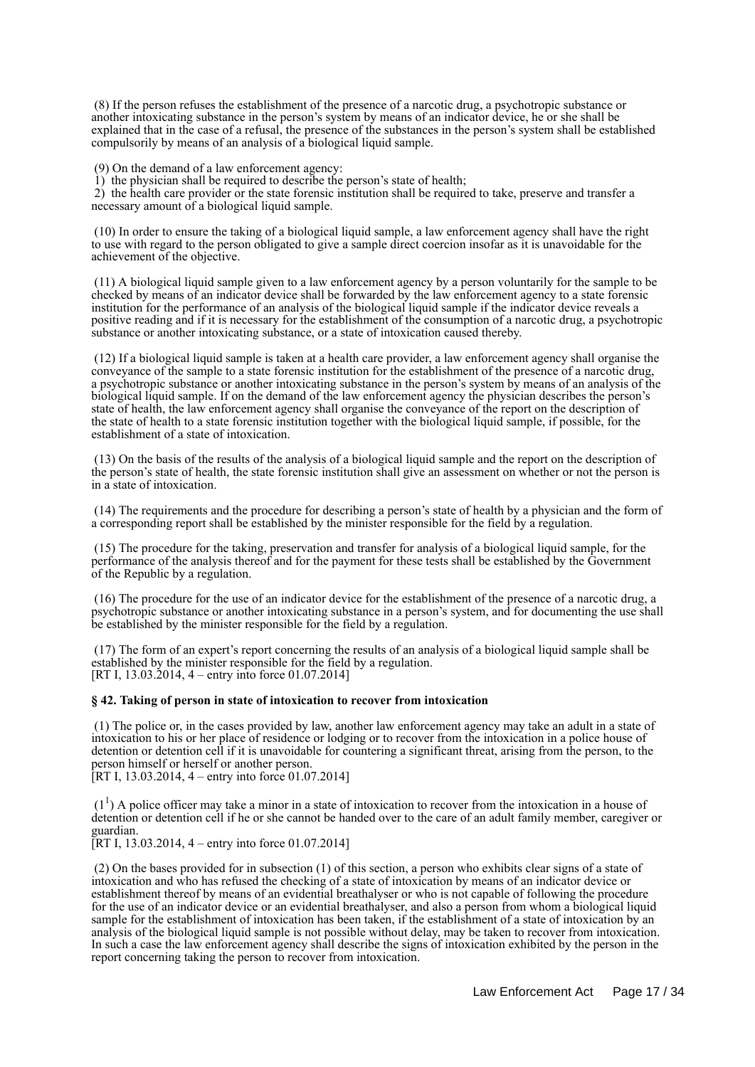(8) If the person refuses the establishment of the presence of a narcotic drug, a psychotropic substance or another intoxicating substance in the person's system by means of an indicator device, he or she shall be explained that in the case of a refusal, the presence of the substances in the person's system shall be established compulsorily by means of an analysis of a biological liquid sample.

(9) On the demand of a law enforcement agency:

1) the physician shall be required to describe the person's state of health;

 2) the health care provider or the state forensic institution shall be required to take, preserve and transfer a necessary amount of a biological liquid sample.

 (10) In order to ensure the taking of a biological liquid sample, a law enforcement agency shall have the right to use with regard to the person obligated to give a sample direct coercion insofar as it is unavoidable for the achievement of the objective.

 (11) A biological liquid sample given to a law enforcement agency by a person voluntarily for the sample to be checked by means of an indicator device shall be forwarded by the law enforcement agency to a state forensic institution for the performance of an analysis of the biological liquid sample if the indicator device reveals a positive reading and if it is necessary for the establishment of the consumption of a narcotic drug, a psychotropic substance or another intoxicating substance, or a state of intoxication caused thereby.

 (12) If a biological liquid sample is taken at a health care provider, a law enforcement agency shall organise the conveyance of the sample to a state forensic institution for the establishment of the presence of a narcotic drug, a psychotropic substance or another intoxicating substance in the person's system by means of an analysis of the biological liquid sample. If on the demand of the law enforcement agency the physician describes the person's state of health, the law enforcement agency shall organise the conveyance of the report on the description of the state of health to a state forensic institution together with the biological liquid sample, if possible, for the establishment of a state of intoxication.

 (13) On the basis of the results of the analysis of a biological liquid sample and the report on the description of the person's state of health, the state forensic institution shall give an assessment on whether or not the person is in a state of intoxication.

 (14) The requirements and the procedure for describing a person's state of health by a physician and the form of a corresponding report shall be established by the minister responsible for the field by a regulation.

 (15) The procedure for the taking, preservation and transfer for analysis of a biological liquid sample, for the performance of the analysis thereof and for the payment for these tests shall be established by the Government of the Republic by a regulation.

 (16) The procedure for the use of an indicator device for the establishment of the presence of a narcotic drug, a psychotropic substance or another intoxicating substance in a person's system, and for documenting the use shall be established by the minister responsible for the field by a regulation.

 (17) The form of an expert's report concerning the results of an analysis of a biological liquid sample shall be established by the minister responsible for the field by a regulation. [RT I, 13.03.2014, 4 – entry into force 01.07.2014]

### **§ 42. Taking of person in state of intoxication to recover from intoxication**

 (1) The police or, in the cases provided by law, another law enforcement agency may take an adult in a state of intoxication to his or her place of residence or lodging or to recover from the intoxication in a police house of detention or detention cell if it is unavoidable for countering a significant threat, arising from the person, to the person himself or herself or another person.

[RT I, 13.03.2014, 4 – entry into force 01.07.2014]

 $(1<sup>1</sup>)$  A police officer may take a minor in a state of intoxication to recover from the intoxication in a house of detention or detention cell if he or she cannot be handed over to the care of an adult family member, caregiver or guardian.

[RT I, 13.03.2014, 4 – entry into force 01.07.2014]

 (2) On the bases provided for in subsection (1) of this section, a person who exhibits clear signs of a state of intoxication and who has refused the checking of a state of intoxication by means of an indicator device or establishment thereof by means of an evidential breathalyser or who is not capable of following the procedure for the use of an indicator device or an evidential breathalyser, and also a person from whom a biological liquid sample for the establishment of intoxication has been taken, if the establishment of a state of intoxication by an analysis of the biological liquid sample is not possible without delay, may be taken to recover from intoxication. In such a case the law enforcement agency shall describe the signs of intoxication exhibited by the person in the report concerning taking the person to recover from intoxication.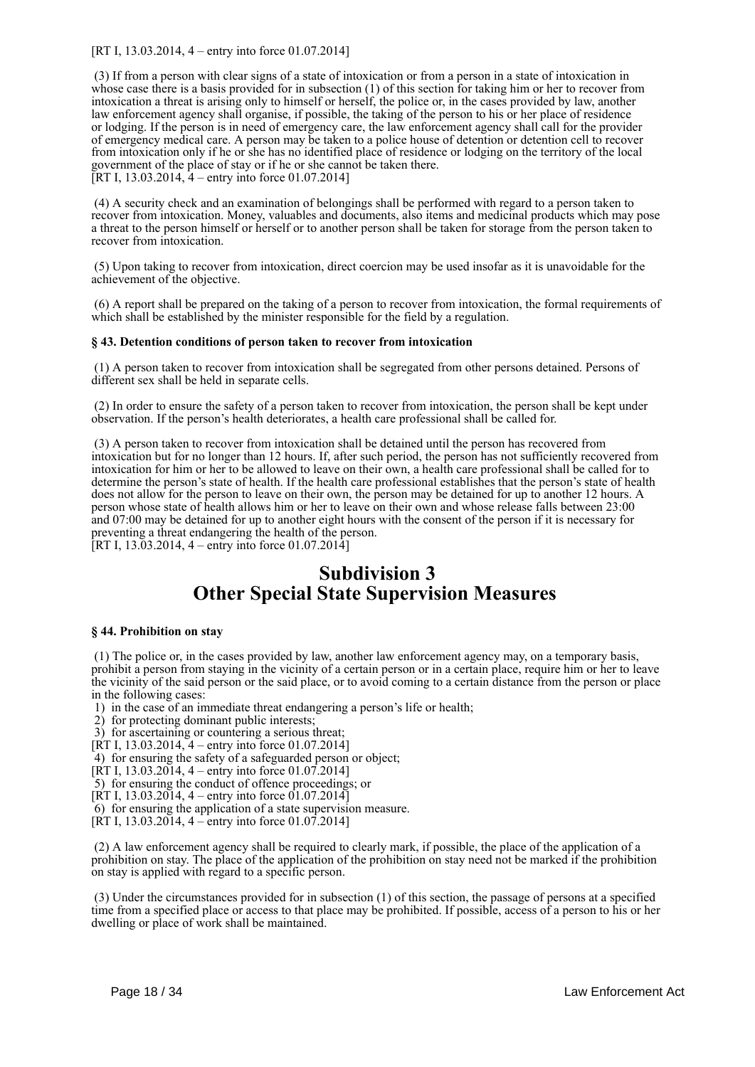[RT I, 13.03.2014, 4 – entry into force 01.07.2014]

 (3) If from a person with clear signs of a state of intoxication or from a person in a state of intoxication in whose case there is a basis provided for in subsection (1) of this section for taking him or her to recover from intoxication a threat is arising only to himself or herself, the police or, in the cases provided by law, another law enforcement agency shall organise, if possible, the taking of the person to his or her place of residence or lodging. If the person is in need of emergency care, the law enforcement agency shall call for the provider of emergency medical care. A person may be taken to a police house of detention or detention cell to recover from intoxication only if he or she has no identified place of residence or lodging on the territory of the local government of the place of stay or if he or she cannot be taken there. [RT I, 13.03.2014, 4 – entry into force 01.07.2014]

 (4) A security check and an examination of belongings shall be performed with regard to a person taken to recover from intoxication. Money, valuables and documents, also items and medicinal products which may pose a threat to the person himself or herself or to another person shall be taken for storage from the person taken to recover from intoxication.

 (5) Upon taking to recover from intoxication, direct coercion may be used insofar as it is unavoidable for the achievement of the objective.

 (6) A report shall be prepared on the taking of a person to recover from intoxication, the formal requirements of which shall be established by the minister responsible for the field by a regulation.

## **§ 43. Detention conditions of person taken to recover from intoxication**

 (1) A person taken to recover from intoxication shall be segregated from other persons detained. Persons of different sex shall be held in separate cells.

 (2) In order to ensure the safety of a person taken to recover from intoxication, the person shall be kept under observation. If the person's health deteriorates, a health care professional shall be called for.

 (3) A person taken to recover from intoxication shall be detained until the person has recovered from intoxication but for no longer than 12 hours. If, after such period, the person has not sufficiently recovered from intoxication for him or her to be allowed to leave on their own, a health care professional shall be called for to determine the person's state of health. If the health care professional establishes that the person's state of health does not allow for the person to leave on their own, the person may be detained for up to another 12 hours. A person whose state of health allows him or her to leave on their own and whose release falls between 23:00 and 07:00 may be detained for up to another eight hours with the consent of the person if it is necessary for preventing a threat endangering the health of the person.

[RT I, 13.03.2014, 4 – entry into force 01.07.2014]

# **Subdivision 3 Other Special State Supervision Measures**

### **§ 44. Prohibition on stay**

 (1) The police or, in the cases provided by law, another law enforcement agency may, on a temporary basis, prohibit a person from staying in the vicinity of a certain person or in a certain place, require him or her to leave the vicinity of the said person or the said place, or to avoid coming to a certain distance from the person or place in the following cases:

- 1) in the case of an immediate threat endangering a person's life or health;
- 2) for protecting dominant public interests;
- 3) for ascertaining or countering a serious threat;
- [RT I, 13.03.2014,  $4$  entry into force 01.07.2014]
- 4) for ensuring the safety of a safeguarded person or object;
- [RT I, 13.03.2014, 4 entry into force 01.07.2014]

5) for ensuring the conduct of offence proceedings; or

- [RT I, 13.03.2014, 4 entry into force 01.07.2014]
- 6) for ensuring the application of a state supervision measure.
- [RT I, 13.03.2014, 4 entry into force 01.07.2014]

 (2) A law enforcement agency shall be required to clearly mark, if possible, the place of the application of a prohibition on stay. The place of the application of the prohibition on stay need not be marked if the prohibition on stay is applied with regard to a specific person.

 (3) Under the circumstances provided for in subsection (1) of this section, the passage of persons at a specified time from a specified place or access to that place may be prohibited. If possible, access of a person to his or her dwelling or place of work shall be maintained.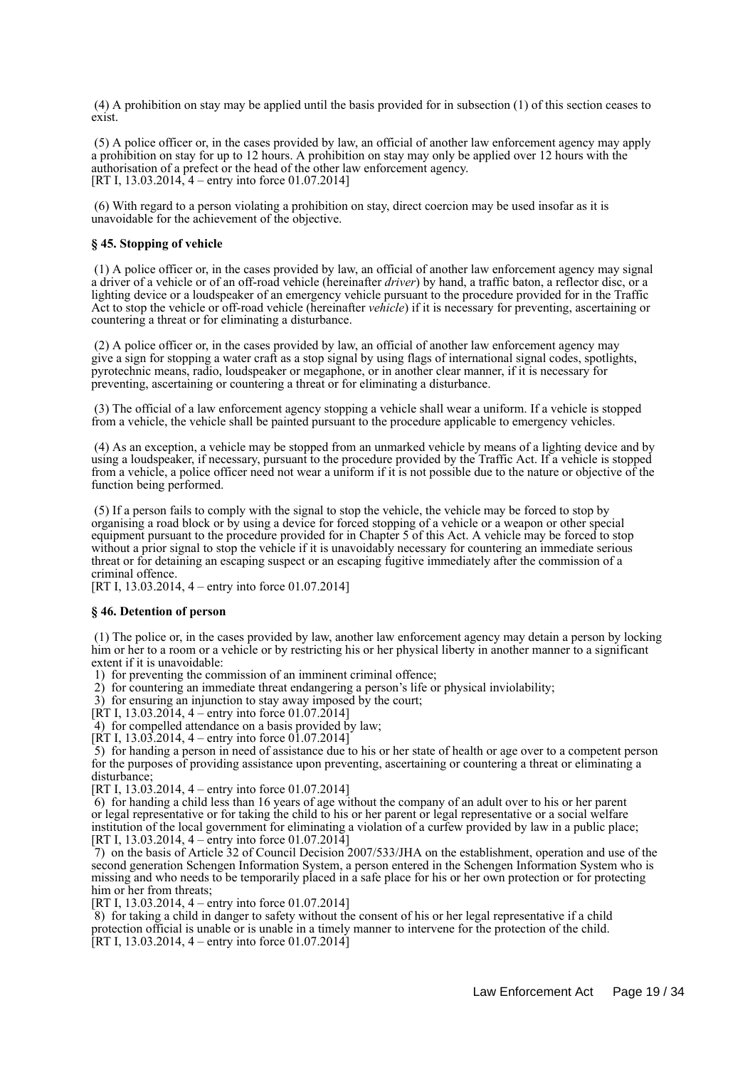(4) A prohibition on stay may be applied until the basis provided for in subsection (1) of this section ceases to exist.

 (5) A police officer or, in the cases provided by law, an official of another law enforcement agency may apply a prohibition on stay for up to 12 hours. A prohibition on stay may only be applied over 12 hours with the authorisation of a prefect or the head of the other law enforcement agency. [RT I, 13.03.2014, 4 – entry into force 01.07.2014]

 (6) With regard to a person violating a prohibition on stay, direct coercion may be used insofar as it is unavoidable for the achievement of the objective.

### **§ 45. Stopping of vehicle**

 (1) A police officer or, in the cases provided by law, an official of another law enforcement agency may signal a driver of a vehicle or of an off-road vehicle (hereinafter *driver*) by hand, a traffic baton, a reflector disc, or a lighting device or a loudspeaker of an emergency vehicle pursuant to the procedure provided for in the Traffic Act to stop the vehicle or off-road vehicle (hereinafter *vehicle*) if it is necessary for preventing, ascertaining or countering a threat or for eliminating a disturbance.

 (2) A police officer or, in the cases provided by law, an official of another law enforcement agency may give a sign for stopping a water craft as a stop signal by using flags of international signal codes, spotlights, pyrotechnic means, radio, loudspeaker or megaphone, or in another clear manner, if it is necessary for preventing, ascertaining or countering a threat or for eliminating a disturbance.

 (3) The official of a law enforcement agency stopping a vehicle shall wear a uniform. If a vehicle is stopped from a vehicle, the vehicle shall be painted pursuant to the procedure applicable to emergency vehicles.

 (4) As an exception, a vehicle may be stopped from an unmarked vehicle by means of a lighting device and by using a loudspeaker, if necessary, pursuant to the procedure provided by the Traffic Act. If a vehicle is stopped from a vehicle, a police officer need not wear a uniform if it is not possible due to the nature or objective of the function being performed.

 (5) If a person fails to comply with the signal to stop the vehicle, the vehicle may be forced to stop by organising a road block or by using a device for forced stopping of a vehicle or a weapon or other special equipment pursuant to the procedure provided for in Chapter 5 of this Act. A vehicle may be forced to stop without a prior signal to stop the vehicle if it is unavoidably necessary for countering an immediate serious threat or for detaining an escaping suspect or an escaping fugitive immediately after the commission of a criminal offence.

[RT I, 13.03.2014, 4 – entry into force 01.07.2014]

#### **§ 46. Detention of person**

 (1) The police or, in the cases provided by law, another law enforcement agency may detain a person by locking him or her to a room or a vehicle or by restricting his or her physical liberty in another manner to a significant extent if it is unavoidable:

1) for preventing the commission of an imminent criminal offence;

2) for countering an immediate threat endangering a person's life or physical inviolability;

3) for ensuring an injunction to stay away imposed by the court;

[RT I, 13.03.2014, 4 – entry into force 01.07.2014]

 $\overline{4}$ ) for compelled attendance on a basis provided by law;

[RT I, 13.03.2014, 4 – entry into force 01.07.2014]

 5) for handing a person in need of assistance due to his or her state of health or age over to a competent person for the purposes of providing assistance upon preventing, ascertaining or countering a threat or eliminating a disturbance;

[RT I, 13.03.2014, 4 – entry into force 01.07.2014]

 6) for handing a child less than 16 years of age without the company of an adult over to his or her parent or legal representative or for taking the child to his or her parent or legal representative or a social welfare institution of the local government for eliminating a violation of a curfew provided by law in a public place; [RT I, 13.03.2014, 4 – entry into force 01.07.2014]

 7) on the basis of Article 32 of Council Decision 2007/533/JHA on the establishment, operation and use of the second generation Schengen Information System, a person entered in the Schengen Information System who is missing and who needs to be temporarily placed in a safe place for his or her own protection or for protecting him or her from threats;

[RT I, 13.03.2014, 4 – entry into force 01.07.2014]

 8) for taking a child in danger to safety without the consent of his or her legal representative if a child protection official is unable or is unable in a timely manner to intervene for the protection of the child. [RT I, 13.03.2014, 4 – entry into force 01.07.2014]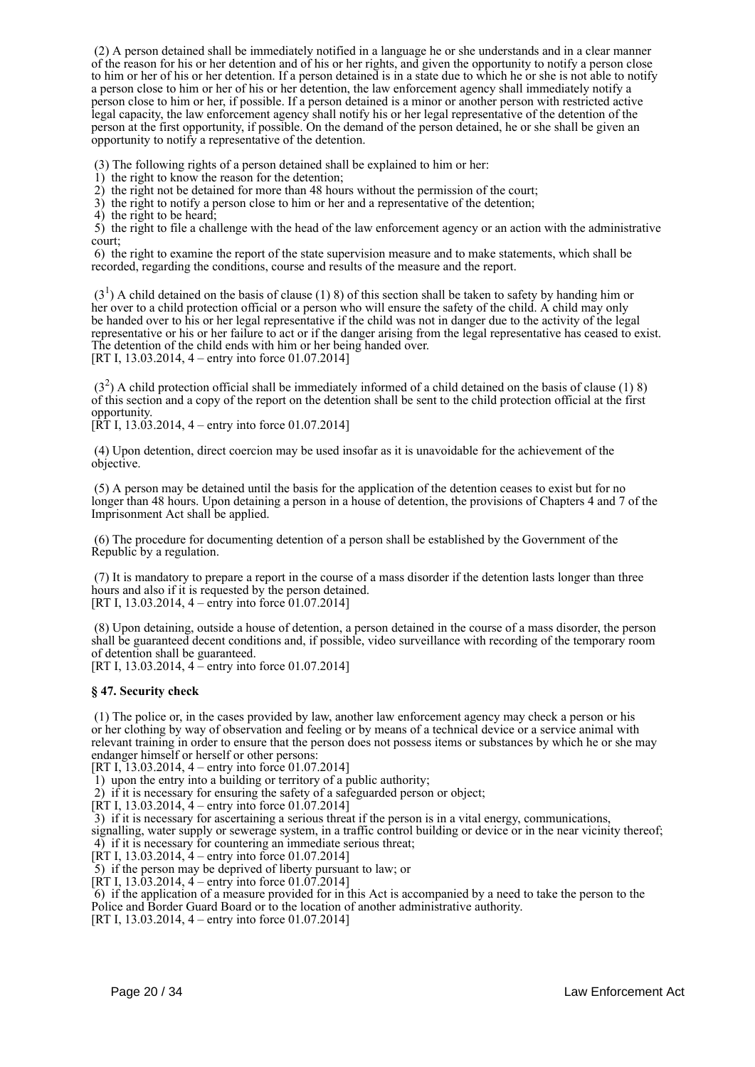(2) A person detained shall be immediately notified in a language he or she understands and in a clear manner of the reason for his or her detention and of his or her rights, and given the opportunity to notify a person close to him or her of his or her detention. If a person detained is in a state due to which he or she is not able to notify a person close to him or her of his or her detention, the law enforcement agency shall immediately notify a person close to him or her, if possible. If a person detained is a minor or another person with restricted active legal capacity, the law enforcement agency shall notify his or her legal representative of the detention of the person at the first opportunity, if possible. On the demand of the person detained, he or she shall be given an opportunity to notify a representative of the detention.

(3) The following rights of a person detained shall be explained to him or her:

1) the right to know the reason for the detention;

2) the right not be detained for more than 48 hours without the permission of the court;

3) the right to notify a person close to him or her and a representative of the detention;

4) the right to be heard;

 5) the right to file a challenge with the head of the law enforcement agency or an action with the administrative court;

 6) the right to examine the report of the state supervision measure and to make statements, which shall be recorded, regarding the conditions, course and results of the measure and the report.

 $(3<sup>1</sup>)$  A child detained on the basis of clause (1) 8) of this section shall be taken to safety by handing him or her over to a child protection official or a person who will ensure the safety of the child. A child may only be handed over to his or her legal representative if the child was not in danger due to the activity of the legal representative or his or her failure to act or if the danger arising from the legal representative has ceased to exist. The detention of the child ends with him or her being handed over.

[RT I, 13.03.2014, 4 – entry into force 01.07.2014]

 $(3<sup>2</sup>)$  A child protection official shall be immediately informed of a child detained on the basis of clause (1) 8) of this section and a copy of the report on the detention shall be sent to the child protection official at the first opportunity.

 $[\hat{R}T I, 13.03.2014, 4 -$  entry into force 01.07.2014]

 (4) Upon detention, direct coercion may be used insofar as it is unavoidable for the achievement of the objective.

 (5) A person may be detained until the basis for the application of the detention ceases to exist but for no longer than 48 hours. Upon detaining a person in a house of detention, the provisions of Chapters 4 and 7 of the Imprisonment Act shall be applied.

 (6) The procedure for documenting detention of a person shall be established by the Government of the Republic by a regulation.

 (7) It is mandatory to prepare a report in the course of a mass disorder if the detention lasts longer than three hours and also if it is requested by the person detained. [RT I, 13.03.2014, 4 – entry into force 01.07.2014]

 (8) Upon detaining, outside a house of detention, a person detained in the course of a mass disorder, the person shall be guaranteed decent conditions and, if possible, video surveillance with recording of the temporary room of detention shall be guaranteed. [RT I, 13.03.2014, 4 – entry into force 01.07.2014]

**§ 47. Security check**

 (1) The police or, in the cases provided by law, another law enforcement agency may check a person or his or her clothing by way of observation and feeling or by means of a technical device or a service animal with relevant training in order to ensure that the person does not possess items or substances by which he or she may endanger himself or herself or other persons:

[RT I, 13.03.2014, 4 – entry into force 01.07.2014]

1) upon the entry into a building or territory of a public authority;

2) if it is necessary for ensuring the safety of a safeguarded person or object;

[RT I, 13.03.2014,  $4$  – entry into force 01.07.2014]

3) if it is necessary for ascertaining a serious threat if the person is in a vital energy, communications,

signalling, water supply or sewerage system, in a traffic control building or device or in the near vicinity thereof; 4) if it is necessary for countering an immediate serious threat;

[RT I, 13.03.2014, 4 – entry into force 01.07.2014]

5) if the person may be deprived of liberty pursuant to law; or

[RT I, 13.03.2014, 4 – entry into force 01.07.2014]

 6) if the application of a measure provided for in this Act is accompanied by a need to take the person to the Police and Border Guard Board or to the location of another administrative authority.

[RT I, 13.03.2014, 4 – entry into force 01.07.2014]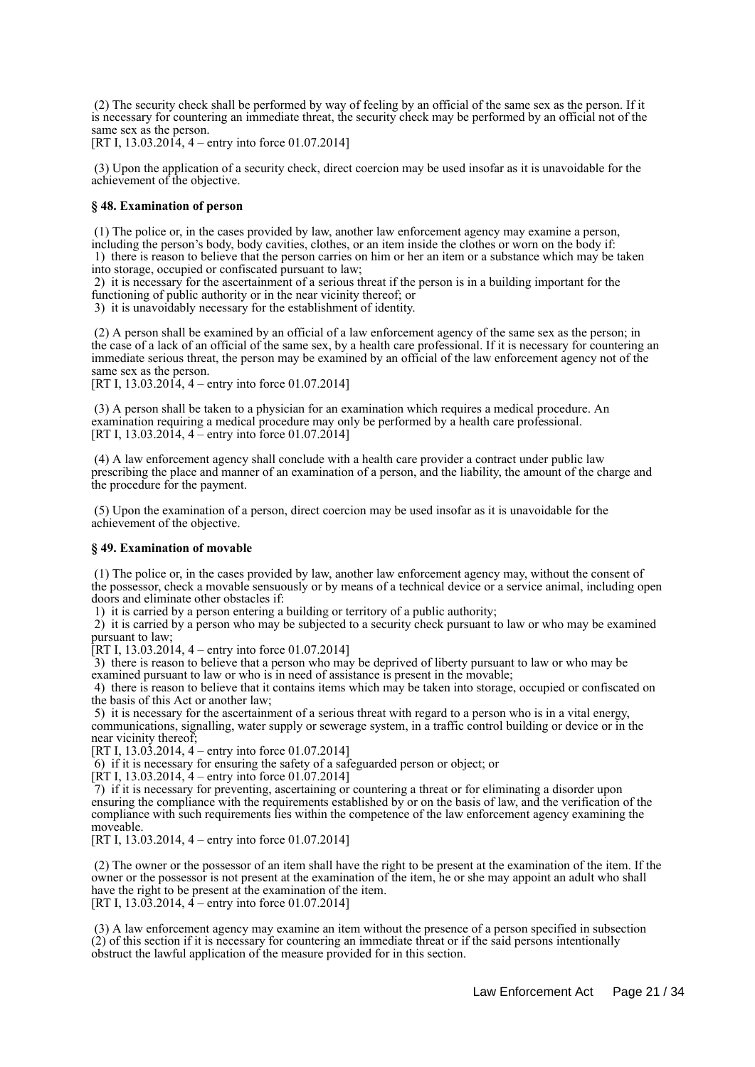(2) The security check shall be performed by way of feeling by an official of the same sex as the person. If it is necessary for countering an immediate threat, the security check may be performed by an official not of the same sex as the person.

[RT I, 13.03.2014, 4 – entry into force 01.07.2014]

 (3) Upon the application of a security check, direct coercion may be used insofar as it is unavoidable for the achievement of the objective.

#### **§ 48. Examination of person**

 (1) The police or, in the cases provided by law, another law enforcement agency may examine a person, including the person's body, body cavities, clothes, or an item inside the clothes or worn on the body if: 1) there is reason to believe that the person carries on him or her an item or a substance which may be taken into storage, occupied or confiscated pursuant to law;

 2) it is necessary for the ascertainment of a serious threat if the person is in a building important for the functioning of public authority or in the near vicinity thereof; or

3) it is unavoidably necessary for the establishment of identity.

 (2) A person shall be examined by an official of a law enforcement agency of the same sex as the person; in the case of a lack of an official of the same sex, by a health care professional. If it is necessary for countering an immediate serious threat, the person may be examined by an official of the law enforcement agency not of the same sex as the person.

[RT I, 13.03.2014, 4 – entry into force 01.07.2014]

 (3) A person shall be taken to a physician for an examination which requires a medical procedure. An examination requiring a medical procedure may only be performed by a health care professional. [RT I, 13.03.2014,  $4 -$  entry into force 01.07.2014]

 (4) A law enforcement agency shall conclude with a health care provider a contract under public law prescribing the place and manner of an examination of a person, and the liability, the amount of the charge and the procedure for the payment.

 (5) Upon the examination of a person, direct coercion may be used insofar as it is unavoidable for the achievement of the objective.

## **§ 49. Examination of movable**

 (1) The police or, in the cases provided by law, another law enforcement agency may, without the consent of the possessor, check a movable sensuously or by means of a technical device or a service animal, including open doors and eliminate other obstacles if:

1) it is carried by a person entering a building or territory of a public authority;

 2) it is carried by a person who may be subjected to a security check pursuant to law or who may be examined pursuant to law;

[RT I,  $13.03.2014$ , 4 – entry into force 01.07.2014]

 3) there is reason to believe that a person who may be deprived of liberty pursuant to law or who may be examined pursuant to law or who is in need of assistance is present in the movable;

 4) there is reason to believe that it contains items which may be taken into storage, occupied or confiscated on the basis of this Act or another law;

 5) it is necessary for the ascertainment of a serious threat with regard to a person who is in a vital energy, communications, signalling, water supply or sewerage system, in a traffic control building or device or in the near vicinity thereof;

[RT I, 13.03.2014, 4 – entry into force 01.07.2014]

6) if it is necessary for ensuring the safety of a safeguarded person or object; or

 $[\text{RT I}, 13.03.2014, 4 -$  entry into force 01.07.2014]

 7) if it is necessary for preventing, ascertaining or countering a threat or for eliminating a disorder upon ensuring the compliance with the requirements established by or on the basis of law, and the verification of the compliance with such requirements lies within the competence of the law enforcement agency examining the moveable.

[RT I, 13,03,2014, 4 – entry into force 01,07,2014]

 (2) The owner or the possessor of an item shall have the right to be present at the examination of the item. If the owner or the possessor is not present at the examination of the item, he or she may appoint an adult who shall have the right to be present at the examination of the item. [RT I,  $13.03.2014$ ,  $4$  – entry into force 01.07.2014]

 (3) A law enforcement agency may examine an item without the presence of a person specified in subsection (2) of this section if it is necessary for countering an immediate threat or if the said persons intentionally obstruct the lawful application of the measure provided for in this section.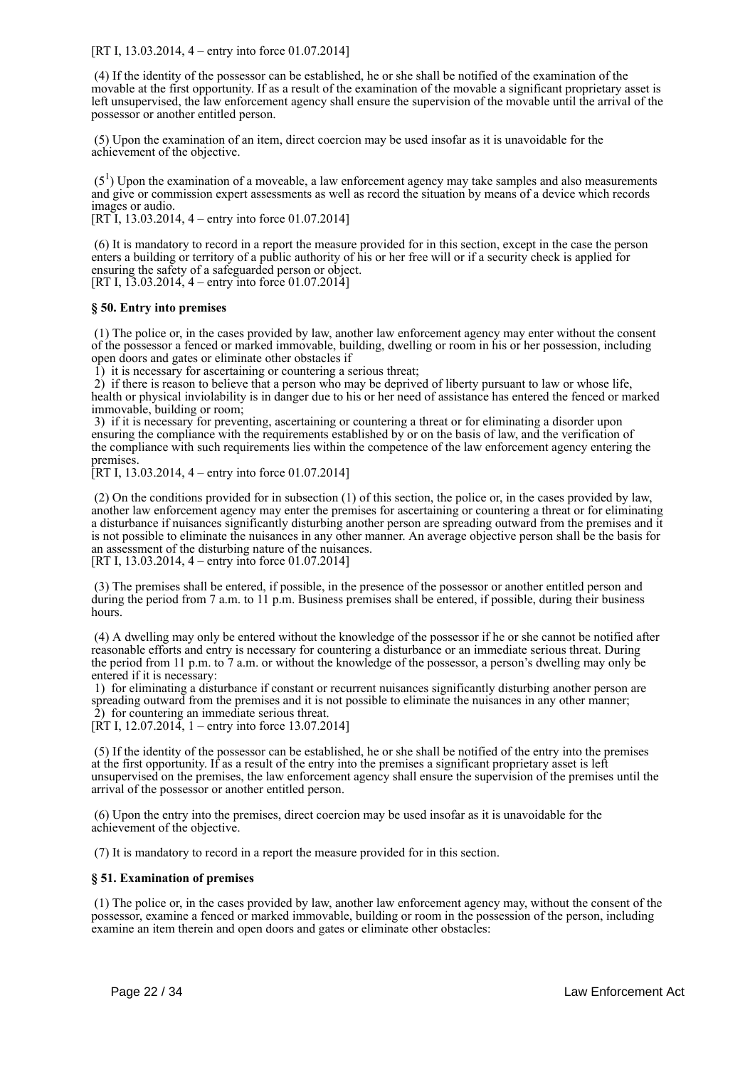[RT I, 13.03.2014, 4 – entry into force 01.07.2014]

 (4) If the identity of the possessor can be established, he or she shall be notified of the examination of the movable at the first opportunity. If as a result of the examination of the movable a significant proprietary asset is left unsupervised, the law enforcement agency shall ensure the supervision of the movable until the arrival of the possessor or another entitled person.

 (5) Upon the examination of an item, direct coercion may be used insofar as it is unavoidable for the achievement of the objective.

 $(5<sup>1</sup>)$  Upon the examination of a moveable, a law enforcement agency may take samples and also measurements and give or commission expert assessments as well as record the situation by means of a device which records images or audio.

[RT I, 13.03.2014, 4 – entry into force 01.07.2014]

 (6) It is mandatory to record in a report the measure provided for in this section, except in the case the person enters a building or territory of a public authority of his or her free will or if a security check is applied for ensuring the safety of a safeguarded person or object. [RT I, 13.03.2014, 4 – entry into force 01.07.2014]

### **§ 50. Entry into premises**

 (1) The police or, in the cases provided by law, another law enforcement agency may enter without the consent of the possessor a fenced or marked immovable, building, dwelling or room in his or her possession, including open doors and gates or eliminate other obstacles if

1) it is necessary for ascertaining or countering a serious threat;

 2) if there is reason to believe that a person who may be deprived of liberty pursuant to law or whose life, health or physical inviolability is in danger due to his or her need of assistance has entered the fenced or marked immovable, building or room;

 3) if it is necessary for preventing, ascertaining or countering a threat or for eliminating a disorder upon ensuring the compliance with the requirements established by or on the basis of law, and the verification of the compliance with such requirements lies within the competence of the law enforcement agency entering the premises.

[RT I, 13.03.2014, 4 – entry into force 01.07.2014]

 (2) On the conditions provided for in subsection (1) of this section, the police or, in the cases provided by law, another law enforcement agency may enter the premises for ascertaining or countering a threat or for eliminating a disturbance if nuisances significantly disturbing another person are spreading outward from the premises and it is not possible to eliminate the nuisances in any other manner. An average objective person shall be the basis for an assessment of the disturbing nature of the nuisances.

[RT I, 13.03.2014, 4 – entry into force 01.07.2014]

 (3) The premises shall be entered, if possible, in the presence of the possessor or another entitled person and during the period from 7 a.m. to 11 p.m. Business premises shall be entered, if possible, during their business hours.

 (4) A dwelling may only be entered without the knowledge of the possessor if he or she cannot be notified after reasonable efforts and entry is necessary for countering a disturbance or an immediate serious threat. During the period from 11 p.m. to 7 a.m. or without the knowledge of the possessor, a person's dwelling may only be entered if it is necessary:

 1) for eliminating a disturbance if constant or recurrent nuisances significantly disturbing another person are spreading outward from the premises and it is not possible to eliminate the nuisances in any other manner; 2) for countering an immediate serious threat.

[RT I, 12.07.2014, 1 – entry into force 13.07.2014]

 (5) If the identity of the possessor can be established, he or she shall be notified of the entry into the premises at the first opportunity. If as a result of the entry into the premises a significant proprietary asset is left unsupervised on the premises, the law enforcement agency shall ensure the supervision of the premises until the arrival of the possessor or another entitled person.

 (6) Upon the entry into the premises, direct coercion may be used insofar as it is unavoidable for the achievement of the objective.

(7) It is mandatory to record in a report the measure provided for in this section.

### **§ 51. Examination of premises**

 (1) The police or, in the cases provided by law, another law enforcement agency may, without the consent of the possessor, examine a fenced or marked immovable, building or room in the possession of the person, including examine an item therein and open doors and gates or eliminate other obstacles: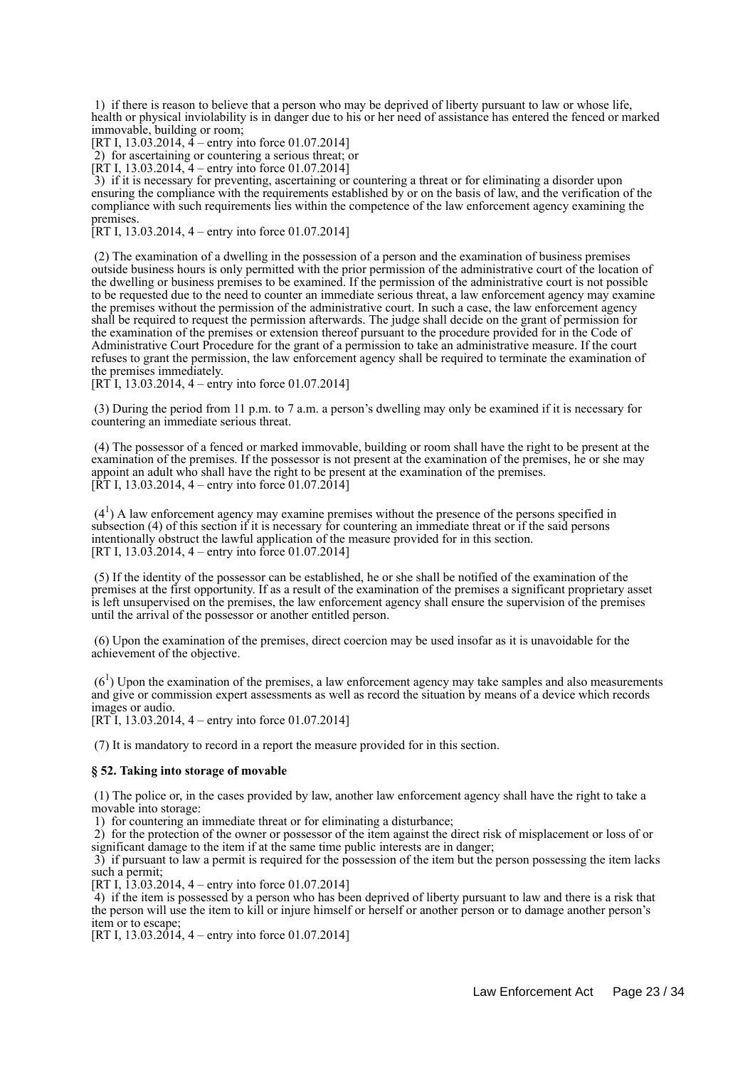1) if there is reason to believe that a person who may be deprived of liberty pursuant to law or whose life, health or physical inviolability is in danger due to his or her need of assistance has entered the fenced or marked immovable, building or room;

[RT I, 13.03.2014,  $\bar{4}$  – entry into force 01.07.2014]

2) for ascertaining or countering a serious threat; or

[RT I, 13.03.2014,  $4$  – entry into force 01.07.2014]

 3) if it is necessary for preventing, ascertaining or countering a threat or for eliminating a disorder upon ensuring the compliance with the requirements established by or on the basis of law, and the verification of the compliance with such requirements lies within the competence of the law enforcement agency examining the premises.

[RT I, 13.03.2014, 4 – entry into force 01.07.2014]

 (2) The examination of a dwelling in the possession of a person and the examination of business premises outside business hours is only permitted with the prior permission of the administrative court of the location of the dwelling or business premises to be examined. If the permission of the administrative court is not possible to be requested due to the need to counter an immediate serious threat, a law enforcement agency may examine the premises without the permission of the administrative court. In such a case, the law enforcement agency shall be required to request the permission afterwards. The judge shall decide on the grant of permission for the examination of the premises or extension thereof pursuant to the procedure provided for in the Code of Administrative Court Procedure for the grant of a permission to take an administrative measure. If the court refuses to grant the permission, the law enforcement agency shall be required to terminate the examination of the premises immediately.

[RT I, 13.03.2014, 4 – entry into force 01.07.2014]

 (3) During the period from 11 p.m. to 7 a.m. a person's dwelling may only be examined if it is necessary for countering an immediate serious threat.

 (4) The possessor of a fenced or marked immovable, building or room shall have the right to be present at the examination of the premises. If the possessor is not present at the examination of the premises, he or she may appoint an adult who shall have the right to be present at the examination of the premises. [RT I, 13.03.2014, 4 – entry into force 01.07.2014]

 $(4<sup>1</sup>)$  A law enforcement agency may examine premises without the presence of the persons specified in subsection (4) of this section if it is necessary for countering an immediate threat or if the said persons intentionally obstruct the lawful application of the measure provided for in this section. [RT I, 13.03.2014, 4 – entry into force 01.07.2014]

 (5) If the identity of the possessor can be established, he or she shall be notified of the examination of the premises at the first opportunity. If as a result of the examination of the premises a significant proprietary asset is left unsupervised on the premises, the law enforcement agency shall ensure the supervision of the premises until the arrival of the possessor or another entitled person.

 (6) Upon the examination of the premises, direct coercion may be used insofar as it is unavoidable for the achievement of the objective.

 $(6<sup>1</sup>)$  Upon the examination of the premises, a law enforcement agency may take samples and also measurements and give or commission expert assessments as well as record the situation by means of a device which records images or audio.

[RT I, 13.03.2014, 4 – entry into force 01.07.2014]

(7) It is mandatory to record in a report the measure provided for in this section.

#### **§ 52. Taking into storage of movable**

 (1) The police or, in the cases provided by law, another law enforcement agency shall have the right to take a movable into storage:

1) for countering an immediate threat or for eliminating a disturbance;

 2) for the protection of the owner or possessor of the item against the direct risk of misplacement or loss of or significant damage to the item if at the same time public interests are in danger;

 3) if pursuant to law a permit is required for the possession of the item but the person possessing the item lacks such a permit:

[RT I, 13.03.2014, 4 – entry into force 01.07.2014]

 4) if the item is possessed by a person who has been deprived of liberty pursuant to law and there is a risk that the person will use the item to kill or injure himself or herself or another person or to damage another person's item or to escape;

[RT I, 13.03.2014, 4 – entry into force 01.07.2014]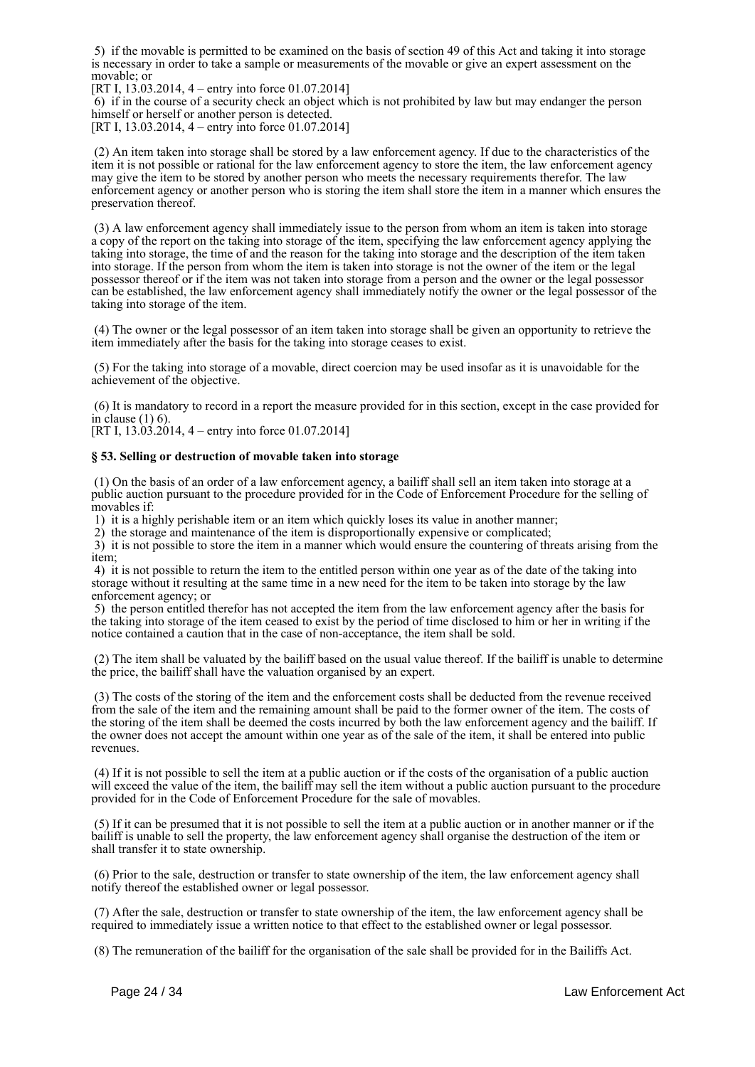5) if the movable is permitted to be examined on the basis of section 49 of this Act and taking it into storage is necessary in order to take a sample or measurements of the movable or give an expert assessment on the movable; or

[RT I, 13.03.2014, 4 – entry into force 01.07.2014]

 6) if in the course of a security check an object which is not prohibited by law but may endanger the person himself or herself or another person is detected.

[RT I, 13.03.2014, 4 – entry into force 01.07.2014]

 (2) An item taken into storage shall be stored by a law enforcement agency. If due to the characteristics of the item it is not possible or rational for the law enforcement agency to store the item, the law enforcement agency may give the item to be stored by another person who meets the necessary requirements therefor. The law enforcement agency or another person who is storing the item shall store the item in a manner which ensures the preservation thereof.

 (3) A law enforcement agency shall immediately issue to the person from whom an item is taken into storage a copy of the report on the taking into storage of the item, specifying the law enforcement agency applying the taking into storage, the time of and the reason for the taking into storage and the description of the item taken into storage. If the person from whom the item is taken into storage is not the owner of the item or the legal possessor thereof or if the item was not taken into storage from a person and the owner or the legal possessor can be established, the law enforcement agency shall immediately notify the owner or the legal possessor of the taking into storage of the item.

 (4) The owner or the legal possessor of an item taken into storage shall be given an opportunity to retrieve the item immediately after the basis for the taking into storage ceases to exist.

 (5) For the taking into storage of a movable, direct coercion may be used insofar as it is unavoidable for the achievement of the objective.

 (6) It is mandatory to record in a report the measure provided for in this section, except in the case provided for in clause  $(1)$  6).

[RT I,  $13.\overline{03}.\overline{2014}$ ,  $4 -$  entry into force 01.07.2014]

#### **§ 53. Selling or destruction of movable taken into storage**

 (1) On the basis of an order of a law enforcement agency, a bailiff shall sell an item taken into storage at a public auction pursuant to the procedure provided for in the Code of Enforcement Procedure for the selling of movables if:

1) it is a highly perishable item or an item which quickly loses its value in another manner;

2) the storage and maintenance of the item is disproportionally expensive or complicated;

 3) it is not possible to store the item in a manner which would ensure the countering of threats arising from the item;

 4) it is not possible to return the item to the entitled person within one year as of the date of the taking into storage without it resulting at the same time in a new need for the item to be taken into storage by the law enforcement agency; or

 5) the person entitled therefor has not accepted the item from the law enforcement agency after the basis for the taking into storage of the item ceased to exist by the period of time disclosed to him or her in writing if the notice contained a caution that in the case of non-acceptance, the item shall be sold.

 (2) The item shall be valuated by the bailiff based on the usual value thereof. If the bailiff is unable to determine the price, the bailiff shall have the valuation organised by an expert.

 (3) The costs of the storing of the item and the enforcement costs shall be deducted from the revenue received from the sale of the item and the remaining amount shall be paid to the former owner of the item. The costs of the storing of the item shall be deemed the costs incurred by both the law enforcement agency and the bailiff. If the owner does not accept the amount within one year as of the sale of the item, it shall be entered into public revenues.

 (4) If it is not possible to sell the item at a public auction or if the costs of the organisation of a public auction will exceed the value of the item, the bailiff may sell the item without a public auction pursuant to the procedure provided for in the Code of Enforcement Procedure for the sale of movables.

 (5) If it can be presumed that it is not possible to sell the item at a public auction or in another manner or if the bailiff is unable to sell the property, the law enforcement agency shall organise the destruction of the item or shall transfer it to state ownership.

 (6) Prior to the sale, destruction or transfer to state ownership of the item, the law enforcement agency shall notify thereof the established owner or legal possessor.

 (7) After the sale, destruction or transfer to state ownership of the item, the law enforcement agency shall be required to immediately issue a written notice to that effect to the established owner or legal possessor.

(8) The remuneration of the bailiff for the organisation of the sale shall be provided for in the Bailiffs Act.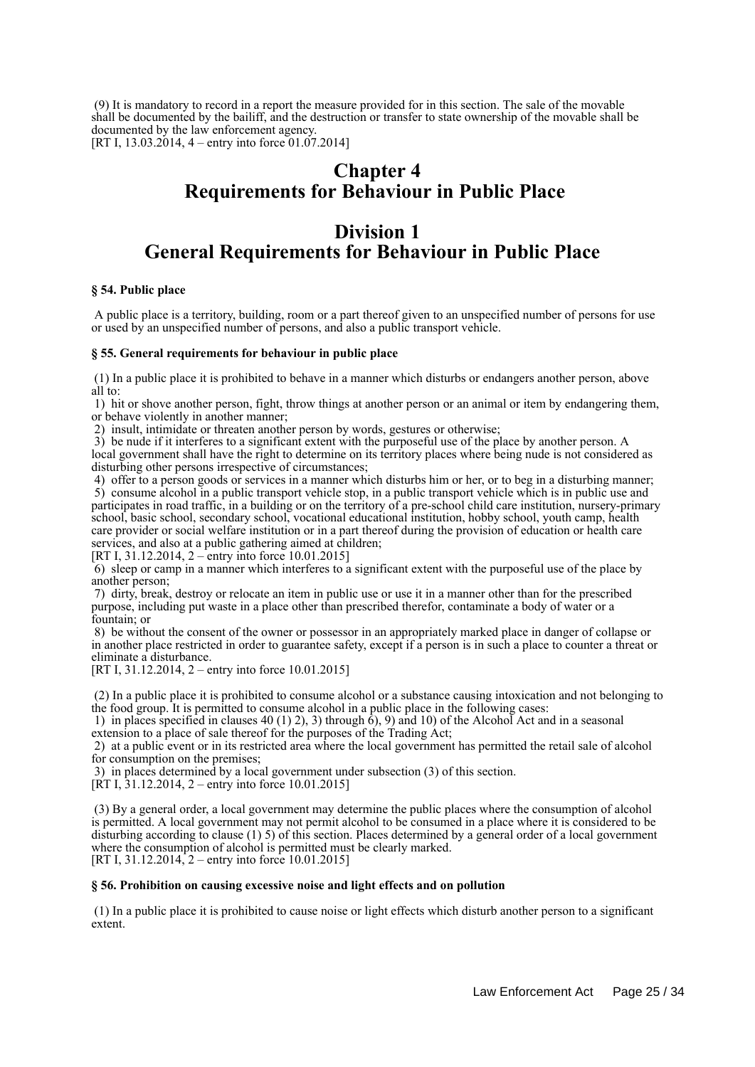(9) It is mandatory to record in a report the measure provided for in this section. The sale of the movable shall be documented by the bailiff, and the destruction or transfer to state ownership of the movable shall be documented by the law enforcement agency.

[RT I, 13.03.2014, 4 – entry into force 01.07.2014]

# **Chapter 4 Requirements for Behaviour in Public Place**

## **Division 1 General Requirements for Behaviour in Public Place**

## **§ 54. Public place**

 A public place is a territory, building, room or a part thereof given to an unspecified number of persons for use or used by an unspecified number of persons, and also a public transport vehicle.

### **§ 55. General requirements for behaviour in public place**

 (1) In a public place it is prohibited to behave in a manner which disturbs or endangers another person, above all to:

 1) hit or shove another person, fight, throw things at another person or an animal or item by endangering them, or behave violently in another manner;

2) insult, intimidate or threaten another person by words, gestures or otherwise;

 3) be nude if it interferes to a significant extent with the purposeful use of the place by another person. A local government shall have the right to determine on its territory places where being nude is not considered as disturbing other persons irrespective of circumstances;

 4) offer to a person goods or services in a manner which disturbs him or her, or to beg in a disturbing manner; 5) consume alcohol in a public transport vehicle stop, in a public transport vehicle which is in public use and participates in road traffic, in a building or on the territory of a pre-school child care institution, nursery-primary school, basic school, secondary school, vocational educational institution, hobby school, youth camp, health care provider or social welfare institution or in a part thereof during the provision of education or health care services, and also at a public gathering aimed at children;

[RT I, 31.12.2014, 2 – entry into force 10.01.2015]

 6) sleep or camp in a manner which interferes to a significant extent with the purposeful use of the place by another person;

 7) dirty, break, destroy or relocate an item in public use or use it in a manner other than for the prescribed purpose, including put waste in a place other than prescribed therefor, contaminate a body of water or a fountain; or

 8) be without the consent of the owner or possessor in an appropriately marked place in danger of collapse or in another place restricted in order to guarantee safety, except if a person is in such a place to counter a threat or eliminate a disturbance.

[RT I, 31.12.2014, 2 – entry into force 10.01.2015]

 (2) In a public place it is prohibited to consume alcohol or a substance causing intoxication and not belonging to the food group. It is permitted to consume alcohol in a public place in the following cases:

1) in places specified in clauses 40 (1) 2), 3) through  $\dot{6}$ , 9) and 10) of the Alcohol Act and in a seasonal extension to a place of sale thereof for the purposes of the Trading Act;

 2) at a public event or in its restricted area where the local government has permitted the retail sale of alcohol for consumption on the premises;

3) in places determined by a local government under subsection (3) of this section.

[RT I, 31.12.2014, 2 – entry into force 10.01.2015]

 (3) By a general order, a local government may determine the public places where the consumption of alcohol is permitted. A local government may not permit alcohol to be consumed in a place where it is considered to be disturbing according to clause (1) 5) of this section. Places determined by a general order of a local government where the consumption of alcohol is permitted must be clearly marked. [RT I, 31.12.2014, 2 – entry into force 10.01.2015]

### **§ 56. Prohibition on causing excessive noise and light effects and on pollution**

 (1) In a public place it is prohibited to cause noise or light effects which disturb another person to a significant extent.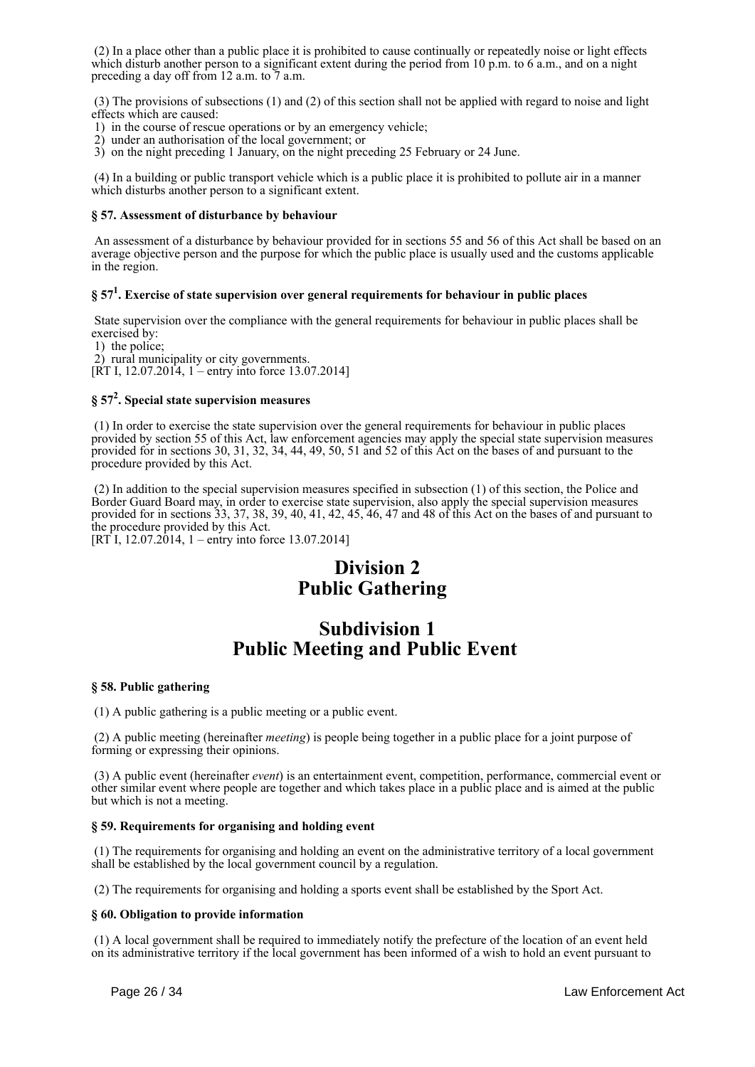(2) In a place other than a public place it is prohibited to cause continually or repeatedly noise or light effects which disturb another person to a significant extent during the period from 10 p.m. to 6 a.m., and on a night preceding a day off from 12 a.m. to  $\frac{7}{7}$  a.m.

 (3) The provisions of subsections (1) and (2) of this section shall not be applied with regard to noise and light effects which are caused:

- 1) in the course of rescue operations or by an emergency vehicle;
- 2) under an authorisation of the local government; or
- 3) on the night preceding 1 January, on the night preceding 25 February or 24 June.

 (4) In a building or public transport vehicle which is a public place it is prohibited to pollute air in a manner which disturbs another person to a significant extent.

## **§ 57. Assessment of disturbance by behaviour**

 An assessment of a disturbance by behaviour provided for in sections 55 and 56 of this Act shall be based on an average objective person and the purpose for which the public place is usually used and the customs applicable in the region.

## **§ 57<sup>1</sup> . Exercise of state supervision over general requirements for behaviour in public places**

 State supervision over the compliance with the general requirements for behaviour in public places shall be exercised by:

1) the police;

2) rural municipality or city governments.

[RT I, 12.07.2014, 1 – entry into force 13.07.2014]

## **§ 57<sup>2</sup> . Special state supervision measures**

 (1) In order to exercise the state supervision over the general requirements for behaviour in public places provided by section 55 of this Act, law enforcement agencies may apply the special state supervision measures provided for in sections 30, 31, 32, 34, 44, 49, 50, 51 and 52 of this Act on the bases of and pursuant to the procedure provided by this Act.

 (2) In addition to the special supervision measures specified in subsection (1) of this section, the Police and Border Guard Board may, in order to exercise state supervision, also apply the special supervision measures provided for in sections 33, 37, 38, 39, 40, 41, 42, 45, 46, 47 and 48 of this Act on the bases of and pursuant to the procedure provided by this Act.

[RT I, 12.07.2014, 1 – entry into force 13.07.2014]

# **Division 2 Public Gathering**

## **Subdivision 1 Public Meeting and Public Event**

## **§ 58. Public gathering**

(1) A public gathering is a public meeting or a public event.

 (2) A public meeting (hereinafter *meeting*) is people being together in a public place for a joint purpose of forming or expressing their opinions.

 (3) A public event (hereinafter *event*) is an entertainment event, competition, performance, commercial event or other similar event where people are together and which takes place in a public place and is aimed at the public but which is not a meeting.

## **§ 59. Requirements for organising and holding event**

 (1) The requirements for organising and holding an event on the administrative territory of a local government shall be established by the local government council by a regulation.

(2) The requirements for organising and holding a sports event shall be established by the Sport Act.

### **§ 60. Obligation to provide information**

 (1) A local government shall be required to immediately notify the prefecture of the location of an event held on its administrative territory if the local government has been informed of a wish to hold an event pursuant to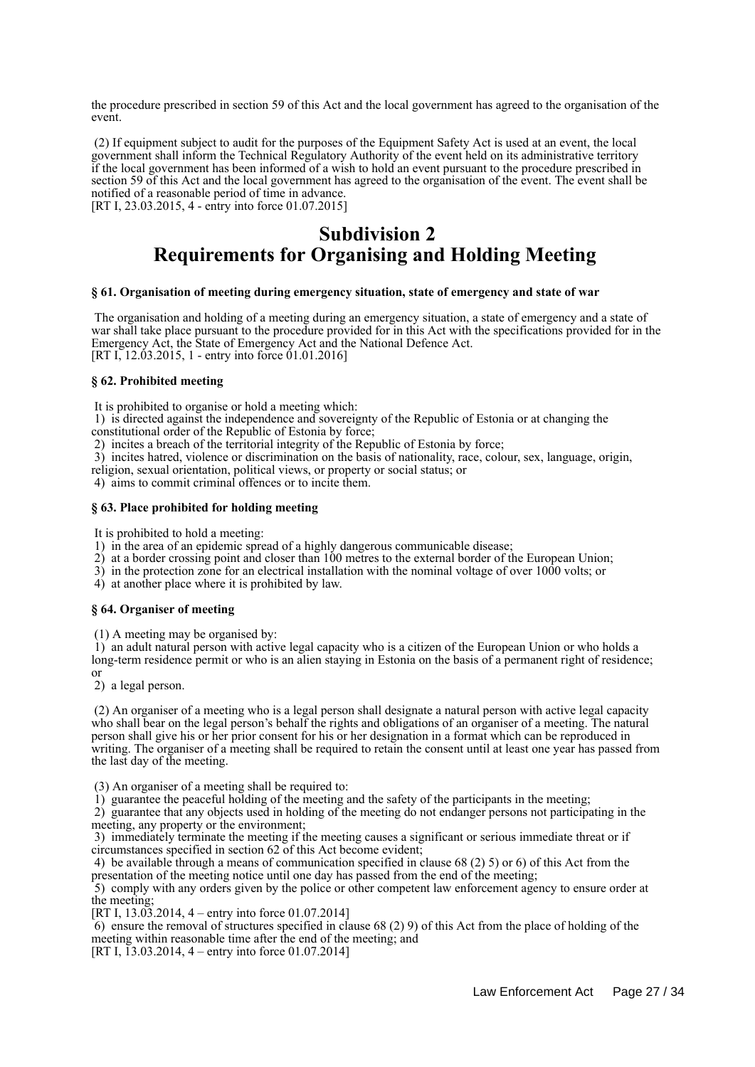the procedure prescribed in section 59 of this Act and the local government has agreed to the organisation of the event.

 (2) If equipment subject to audit for the purposes of the Equipment Safety Act is used at an event, the local government shall inform the Technical Regulatory Authority of the event held on its administrative territory if the local government has been informed of a wish to hold an event pursuant to the procedure prescribed in section 59 of this Act and the local government has agreed to the organisation of the event. The event shall be notified of a reasonable period of time in advance. [RT I, 23.03.2015, 4 - entry into force 01.07.2015]

> **Subdivision 2 Requirements for Organising and Holding Meeting**

#### **§ 61. Organisation of meeting during emergency situation, state of emergency and state of war**

 The organisation and holding of a meeting during an emergency situation, a state of emergency and a state of war shall take place pursuant to the procedure provided for in this Act with the specifications provided for in the Emergency Act, the State of Emergency Act and the National Defence Act. [RT I,  $12.03.2015$ , 1 - entry into force 01.01.2016]

## **§ 62. Prohibited meeting**

It is prohibited to organise or hold a meeting which:

 1) is directed against the independence and sovereignty of the Republic of Estonia or at changing the constitutional order of the Republic of Estonia by force;

2) incites a breach of the territorial integrity of the Republic of Estonia by force;

3) incites hatred, violence or discrimination on the basis of nationality, race, colour, sex, language, origin,

religion, sexual orientation, political views, or property or social status; or

4) aims to commit criminal offences or to incite them.

#### **§ 63. Place prohibited for holding meeting**

It is prohibited to hold a meeting:

1) in the area of an epidemic spread of a highly dangerous communicable disease;

2) at a border crossing point and closer than 100 metres to the external border of the European Union;

3) in the protection zone for an electrical installation with the nominal voltage of over 1000 volts; or

4) at another place where it is prohibited by law.

### **§ 64. Organiser of meeting**

(1) A meeting may be organised by:

 1) an adult natural person with active legal capacity who is a citizen of the European Union or who holds a long-term residence permit or who is an alien staying in Estonia on the basis of a permanent right of residence;

or

2) a legal person.

 (2) An organiser of a meeting who is a legal person shall designate a natural person with active legal capacity who shall bear on the legal person's behalf the rights and obligations of an organiser of a meeting. The natural person shall give his or her prior consent for his or her designation in a format which can be reproduced in writing. The organiser of a meeting shall be required to retain the consent until at least one year has passed from the last day of the meeting.

(3) An organiser of a meeting shall be required to:

1) guarantee the peaceful holding of the meeting and the safety of the participants in the meeting;

 2) guarantee that any objects used in holding of the meeting do not endanger persons not participating in the meeting, any property or the environment;

 3) immediately terminate the meeting if the meeting causes a significant or serious immediate threat or if circumstances specified in section 62 of this Act become evident;

 4) be available through a means of communication specified in clause 68 (2) 5) or 6) of this Act from the presentation of the meeting notice until one day has passed from the end of the meeting;

 5) comply with any orders given by the police or other competent law enforcement agency to ensure order at the meeting;

[RT I, 13.03.2014, 4 – entry into force 01.07.2014]

 $6$ ) ensure the removal of structures specified in clause  $68$  (2) 9) of this Act from the place of holding of the meeting within reasonable time after the end of the meeting; and

[RT I, 13.03.2014, 4 – entry into force 01.07.2014]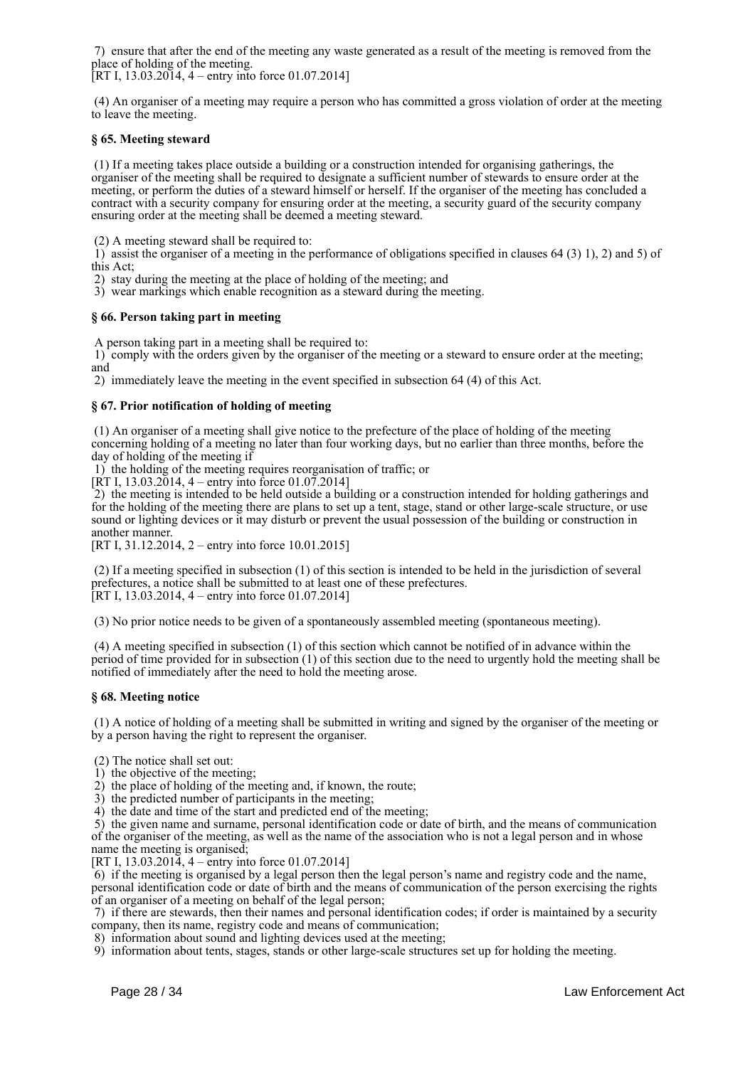7) ensure that after the end of the meeting any waste generated as a result of the meeting is removed from the place of holding of the meeting.

[RT I,  $13.03.2014$ ,  $4$  – entry into force 01.07.2014]

 (4) An organiser of a meeting may require a person who has committed a gross violation of order at the meeting to leave the meeting.

## **§ 65. Meeting steward**

 (1) If a meeting takes place outside a building or a construction intended for organising gatherings, the organiser of the meeting shall be required to designate a sufficient number of stewards to ensure order at the meeting, or perform the duties of a steward himself or herself. If the organiser of the meeting has concluded a contract with a security company for ensuring order at the meeting, a security guard of the security company ensuring order at the meeting shall be deemed a meeting steward.

(2) A meeting steward shall be required to:

 1) assist the organiser of a meeting in the performance of obligations specified in clauses 64 (3) 1), 2) and 5) of this Act;

2) stay during the meeting at the place of holding of the meeting; and

3) wear markings which enable recognition as a steward during the meeting.

### **§ 66. Person taking part in meeting**

A person taking part in a meeting shall be required to:

 1) comply with the orders given by the organiser of the meeting or a steward to ensure order at the meeting; and

2) immediately leave the meeting in the event specified in subsection 64 (4) of this Act.

### **§ 67. Prior notification of holding of meeting**

 (1) An organiser of a meeting shall give notice to the prefecture of the place of holding of the meeting concerning holding of a meeting no later than four working days, but no earlier than three months, before the day of holding of the meeting if

1) the holding of the meeting requires reorganisation of traffic; or

[RT I, 13.03.2014, 4 – entry into force 01.07.2014]

 2) the meeting is intended to be held outside a building or a construction intended for holding gatherings and for the holding of the meeting there are plans to set up a tent, stage, stand or other large-scale structure, or use sound or lighting devices or it may disturb or prevent the usual possession of the building or construction in another manner.

[RT I, 31.12.2014, 2 – entry into force 10.01.2015]

 (2) If a meeting specified in subsection (1) of this section is intended to be held in the jurisdiction of several prefectures, a notice shall be submitted to at least one of these prefectures. [RT I, 13.03.2014, 4 – entry into force 01.07.2014]

(3) No prior notice needs to be given of a spontaneously assembled meeting (spontaneous meeting).

 (4) A meeting specified in subsection (1) of this section which cannot be notified of in advance within the period of time provided for in subsection (1) of this section due to the need to urgently hold the meeting shall be notified of immediately after the need to hold the meeting arose.

### **§ 68. Meeting notice**

 (1) A notice of holding of a meeting shall be submitted in writing and signed by the organiser of the meeting or by a person having the right to represent the organiser.

(2) The notice shall set out:

 $\hat{1}$ ) the objective of the meeting;

2) the place of holding of the meeting and, if known, the route;

3) the predicted number of participants in the meeting;

4) the date and time of the start and predicted end of the meeting;

 5) the given name and surname, personal identification code or date of birth, and the means of communication of the organiser of the meeting, as well as the name of the association who is not a legal person and in whose name the meeting is organised;

[RT I, 13.03.2014, 4 – entry into force 01.07.2014]

 6) if the meeting is organised by a legal person then the legal person's name and registry code and the name, personal identification code or date of birth and the means of communication of the person exercising the rights of an organiser of a meeting on behalf of the legal person;

 7) if there are stewards, then their names and personal identification codes; if order is maintained by a security company, then its name, registry code and means of communication;

8) information about sound and lighting devices used at the meeting;

9) information about tents, stages, stands or other large-scale structures set up for holding the meeting.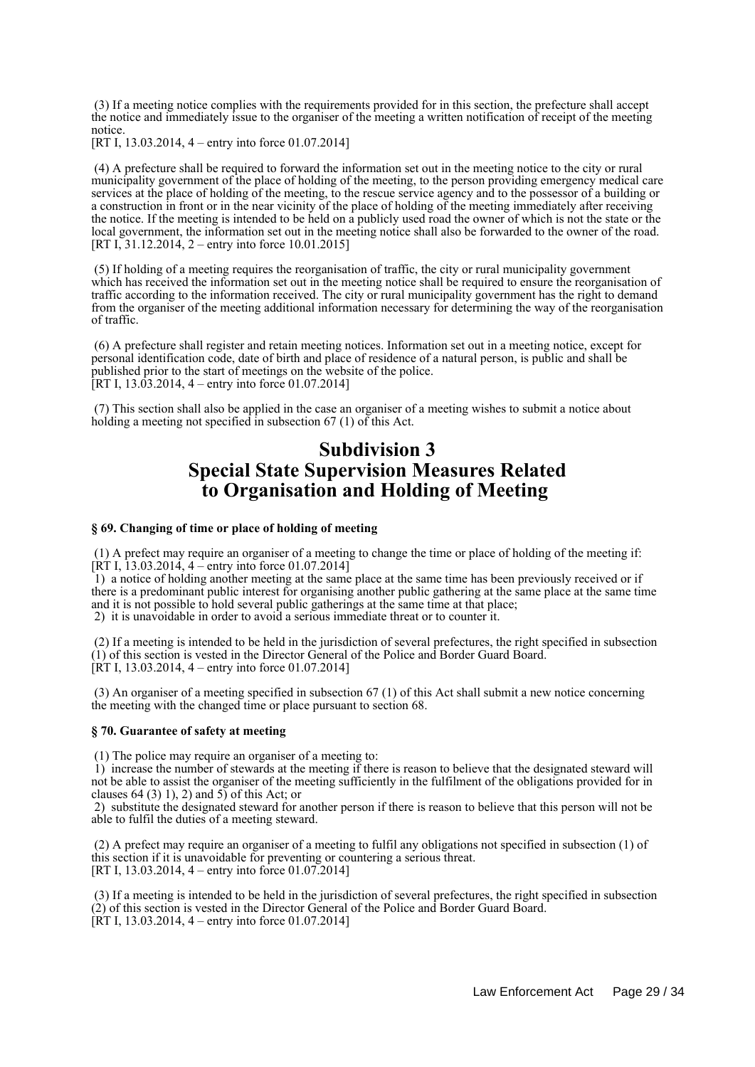(3) If a meeting notice complies with the requirements provided for in this section, the prefecture shall accept the notice and immediately issue to the organiser of the meeting a written notification of receipt of the meeting notice.

[RT I, 13.03.2014, 4 – entry into force 01.07.2014]

 (4) A prefecture shall be required to forward the information set out in the meeting notice to the city or rural municipality government of the place of holding of the meeting, to the person providing emergency medical care services at the place of holding of the meeting, to the rescue service agency and to the possessor of a building or a construction in front or in the near vicinity of the place of holding of the meeting immediately after receiving the notice. If the meeting is intended to be held on a publicly used road the owner of which is not the state or the local government, the information set out in the meeting notice shall also be forwarded to the owner of the road. [RT I, 31.12.2014, 2 – entry into force 10.01.2015]

 (5) If holding of a meeting requires the reorganisation of traffic, the city or rural municipality government which has received the information set out in the meeting notice shall be required to ensure the reorganisation of traffic according to the information received. The city or rural municipality government has the right to demand from the organiser of the meeting additional information necessary for determining the way of the reorganisation of traffic.

 (6) A prefecture shall register and retain meeting notices. Information set out in a meeting notice, except for personal identification code, date of birth and place of residence of a natural person, is public and shall be published prior to the start of meetings on the website of the police. [RT I, 13.03.2014, 4 – entry into force 01.07.2014]

 (7) This section shall also be applied in the case an organiser of a meeting wishes to submit a notice about holding a meeting not specified in subsection 67 (1) of this Act.

## **Subdivision 3 Special State Supervision Measures Related to Organisation and Holding of Meeting**

#### **§ 69. Changing of time or place of holding of meeting**

 (1) A prefect may require an organiser of a meeting to change the time or place of holding of the meeting if:  $[\hat{R}T\ I, 13.03.2014, 4 -$  entry into force 01.07.2014]

 1) a notice of holding another meeting at the same place at the same time has been previously received or if there is a predominant public interest for organising another public gathering at the same place at the same time and it is not possible to hold several public gatherings at the same time at that place; 2) it is unavoidable in order to avoid a serious immediate threat or to counter it.

 (2) If a meeting is intended to be held in the jurisdiction of several prefectures, the right specified in subsection (1) of this section is vested in the Director General of the Police and Border Guard Board. [RT I, 13.03.2014, 4 – entry into force 01.07.2014]

 (3) An organiser of a meeting specified in subsection 67 (1) of this Act shall submit a new notice concerning the meeting with the changed time or place pursuant to section 68.

#### **§ 70. Guarantee of safety at meeting**

(1) The police may require an organiser of a meeting to:

 1) increase the number of stewards at the meeting if there is reason to believe that the designated steward will not be able to assist the organiser of the meeting sufficiently in the fulfilment of the obligations provided for in clauses 64 (3) 1), 2) and 5) of this Act; or

 2) substitute the designated steward for another person if there is reason to believe that this person will not be able to fulfil the duties of a meeting steward.

 (2) A prefect may require an organiser of a meeting to fulfil any obligations not specified in subsection (1) of this section if it is unavoidable for preventing or countering a serious threat. [RT I, 13.03.2014, 4 – entry into force 01.07.2014]

 (3) If a meeting is intended to be held in the jurisdiction of several prefectures, the right specified in subsection (2) of this section is vested in the Director General of the Police and Border Guard Board.  $[\hat{R}T I, 13.03.2014, 4 - entry into force 01.07.2014]$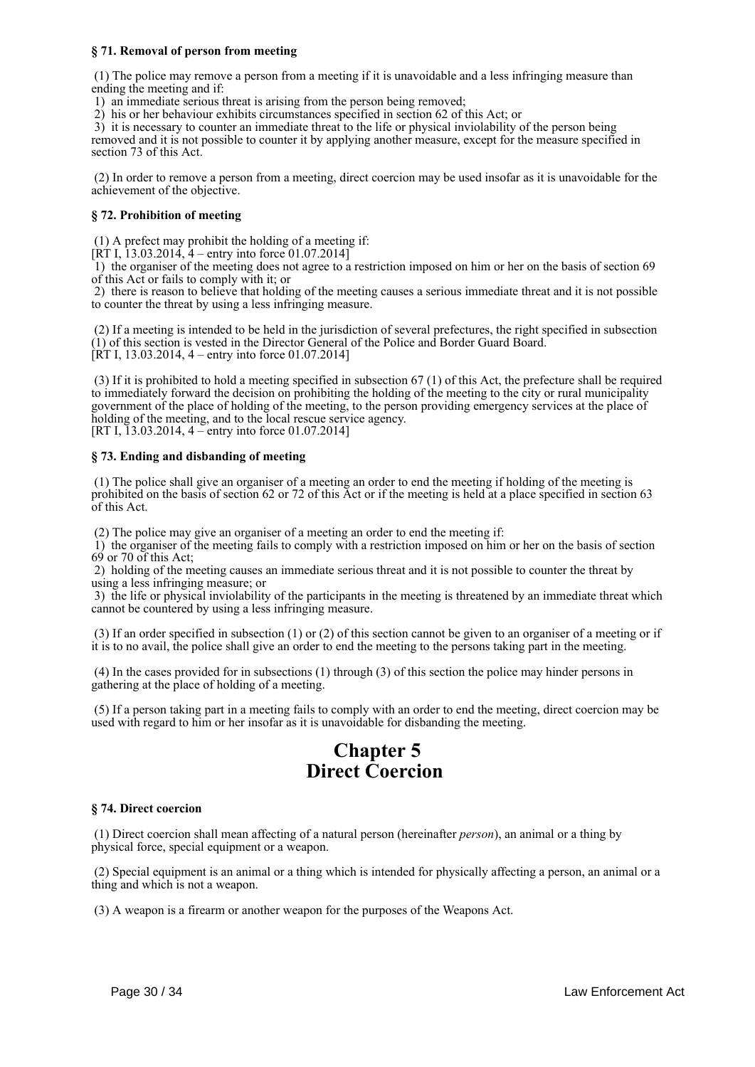## **§ 71. Removal of person from meeting**

 (1) The police may remove a person from a meeting if it is unavoidable and a less infringing measure than ending the meeting and if:

1) an immediate serious threat is arising from the person being removed;

2) his or her behaviour exhibits circumstances specified in section 62 of this Act; or

3) it is necessary to counter an immediate threat to the life or physical inviolability of the person being

removed and it is not possible to counter it by applying another measure, except for the measure specified in section 73 of this Act.

 (2) In order to remove a person from a meeting, direct coercion may be used insofar as it is unavoidable for the achievement of the objective.

## **§ 72. Prohibition of meeting**

(1) A prefect may prohibit the holding of a meeting if:

 $[\hat{R}T I, \hat{1}3.03.2014, \hat{4} -$  entry into force 01.07.2014]

 1) the organiser of the meeting does not agree to a restriction imposed on him or her on the basis of section 69 of this Act or fails to comply with it; or

 2) there is reason to believe that holding of the meeting causes a serious immediate threat and it is not possible to counter the threat by using a less infringing measure.

 (2) If a meeting is intended to be held in the jurisdiction of several prefectures, the right specified in subsection (1) of this section is vested in the Director General of the Police and Border Guard Board. [RT I, 13.03.2014, 4 – entry into force 01.07.2014]

 (3) If it is prohibited to hold a meeting specified in subsection 67 (1) of this Act, the prefecture shall be required to immediately forward the decision on prohibiting the holding of the meeting to the city or rural municipality government of the place of holding of the meeting, to the person providing emergency services at the place of holding of the meeting, and to the local rescue service agency. [RT I, 13.03.2014, 4 – entry into force 01.07.2014]

## **§ 73. Ending and disbanding of meeting**

 (1) The police shall give an organiser of a meeting an order to end the meeting if holding of the meeting is prohibited on the basis of section 62 or 72 of this Act or if the meeting is held at a place specified in section 63 of this Act.

(2) The police may give an organiser of a meeting an order to end the meeting if:

 1) the organiser of the meeting fails to comply with a restriction imposed on him or her on the basis of section 69 or 70 of this Act;

 2) holding of the meeting causes an immediate serious threat and it is not possible to counter the threat by using a less infringing measure; or

 3) the life or physical inviolability of the participants in the meeting is threatened by an immediate threat which cannot be countered by using a less infringing measure.

 (3) If an order specified in subsection (1) or (2) of this section cannot be given to an organiser of a meeting or if it is to no avail, the police shall give an order to end the meeting to the persons taking part in the meeting.

 (4) In the cases provided for in subsections (1) through (3) of this section the police may hinder persons in gathering at the place of holding of a meeting.

 (5) If a person taking part in a meeting fails to comply with an order to end the meeting, direct coercion may be used with regard to him or her insofar as it is unavoidable for disbanding the meeting.

# **Chapter 5 Direct Coercion**

### **§ 74. Direct coercion**

 (1) Direct coercion shall mean affecting of a natural person (hereinafter *person*), an animal or a thing by physical force, special equipment or a weapon.

 (2) Special equipment is an animal or a thing which is intended for physically affecting a person, an animal or a thing and which is not a weapon.

(3) A weapon is a firearm or another weapon for the purposes of the Weapons Act.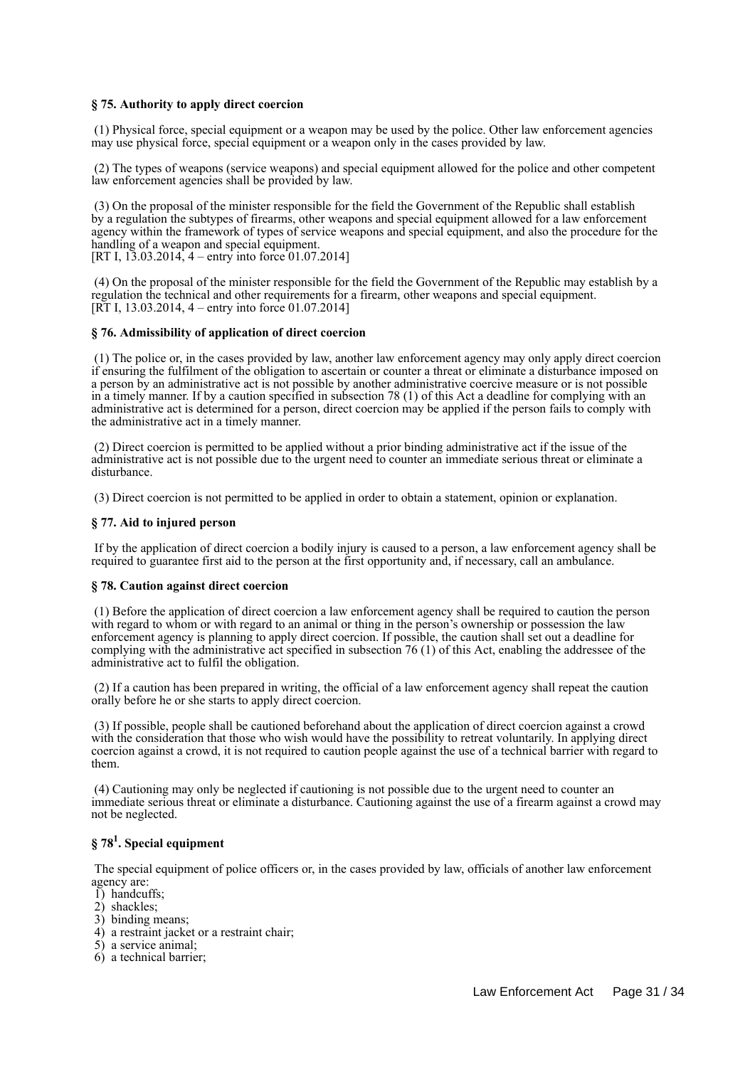## **§ 75. Authority to apply direct coercion**

 (1) Physical force, special equipment or a weapon may be used by the police. Other law enforcement agencies may use physical force, special equipment or a weapon only in the cases provided by law.

 (2) The types of weapons (service weapons) and special equipment allowed for the police and other competent law enforcement agencies shall be provided by law.

 (3) On the proposal of the minister responsible for the field the Government of the Republic shall establish by a regulation the subtypes of firearms, other weapons and special equipment allowed for a law enforcement agency within the framework of types of service weapons and special equipment, and also the procedure for the handling of a weapon and special equipment. [RT I, 13.03.2014, 4 – entry into force 01.07.2014]

 (4) On the proposal of the minister responsible for the field the Government of the Republic may establish by a regulation the technical and other requirements for a firearm, other weapons and special equipment. [RT I, 13.03.2014, 4 – entry into force 01.07.2014]

### **§ 76. Admissibility of application of direct coercion**

 (1) The police or, in the cases provided by law, another law enforcement agency may only apply direct coercion if ensuring the fulfilment of the obligation to ascertain or counter a threat or eliminate a disturbance imposed on a person by an administrative act is not possible by another administrative coercive measure or is not possible in a timely manner. If by a caution specified in subsection 78 (1) of this Act a deadline for complying with an administrative act is determined for a person, direct coercion may be applied if the person fails to comply with the administrative act in a timely manner.

 (2) Direct coercion is permitted to be applied without a prior binding administrative act if the issue of the administrative act is not possible due to the urgent need to counter an immediate serious threat or eliminate a disturbance.

(3) Direct coercion is not permitted to be applied in order to obtain a statement, opinion or explanation.

## **§ 77. Aid to injured person**

 If by the application of direct coercion a bodily injury is caused to a person, a law enforcement agency shall be required to guarantee first aid to the person at the first opportunity and, if necessary, call an ambulance.

### **§ 78. Caution against direct coercion**

 (1) Before the application of direct coercion a law enforcement agency shall be required to caution the person with regard to whom or with regard to an animal or thing in the person's ownership or possession the law enforcement agency is planning to apply direct coercion. If possible, the caution shall set out a deadline for complying with the administrative act specified in subsection 76 (1) of this Act, enabling the addressee of the administrative act to fulfil the obligation.

 (2) If a caution has been prepared in writing, the official of a law enforcement agency shall repeat the caution orally before he or she starts to apply direct coercion.

 (3) If possible, people shall be cautioned beforehand about the application of direct coercion against a crowd with the consideration that those who wish would have the possibility to retreat voluntarily. In applying direct coercion against a crowd, it is not required to caution people against the use of a technical barrier with regard to them.

 (4) Cautioning may only be neglected if cautioning is not possible due to the urgent need to counter an immediate serious threat or eliminate a disturbance. Cautioning against the use of a firearm against a crowd may not be neglected.

## **§ 78<sup>1</sup> . Special equipment**

 The special equipment of police officers or, in the cases provided by law, officials of another law enforcement agency are:

- 1) handcuffs;
- 2) shackles;
- 3) binding means;
- 4) a restraint jacket or a restraint chair;
- 5) a service animal;
- 6) a technical barrier;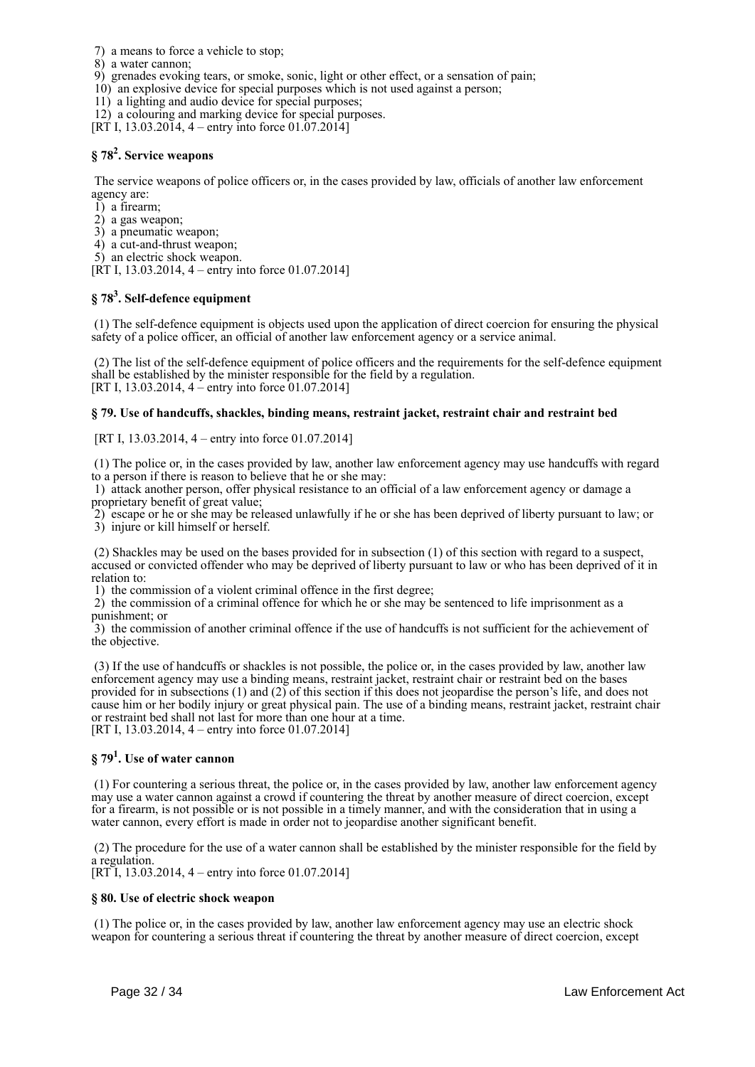- 7) a means to force a vehicle to stop;
- 8) a water cannon;
- 9) grenades evoking tears, or smoke, sonic, light or other effect, or a sensation of pain;
- 10) an explosive device for special purposes which is not used against a person;
- 11) a lighting and audio device for special purposes;
- 12) a colouring and marking device for special purposes.
- [RT I, 13.03.2014, 4 entry into force 01.07.2014]

## **§ 78<sup>2</sup> . Service weapons**

 The service weapons of police officers or, in the cases provided by law, officials of another law enforcement agency are:

1) a firearm;

- 2) a gas weapon;
- 3) a pneumatic weapon;
- 4) a cut-and-thrust weapon;
- 5) an electric shock weapon.

[RT I, 13.03.2014, 4 – entry into force 01.07.2014]

## **§ 78<sup>3</sup> . Self-defence equipment**

 (1) The self-defence equipment is objects used upon the application of direct coercion for ensuring the physical safety of a police officer, an official of another law enforcement agency or a service animal.

 (2) The list of the self-defence equipment of police officers and the requirements for the self-defence equipment shall be established by the minister responsible for the field by a regulation. [RT I, 13.03.2014, 4 – entry into force 01.07.2014]

### **§ 79. Use of handcuffs, shackles, binding means, restraint jacket, restraint chair and restraint bed**

[RT I, 13.03.2014, 4 – entry into force 01.07.2014]

 (1) The police or, in the cases provided by law, another law enforcement agency may use handcuffs with regard to a person if there is reason to believe that he or she may:

 1) attack another person, offer physical resistance to an official of a law enforcement agency or damage a proprietary benefit of great value;

2) escape or he or she may be released unlawfully if he or she has been deprived of liberty pursuant to law; or

3) injure or kill himself or herself.

 (2) Shackles may be used on the bases provided for in subsection (1) of this section with regard to a suspect, accused or convicted offender who may be deprived of liberty pursuant to law or who has been deprived of it in relation to:

1) the commission of a violent criminal offence in the first degree;

 2) the commission of a criminal offence for which he or she may be sentenced to life imprisonment as a punishment; or

 3) the commission of another criminal offence if the use of handcuffs is not sufficient for the achievement of the objective.

 (3) If the use of handcuffs or shackles is not possible, the police or, in the cases provided by law, another law enforcement agency may use a binding means, restraint jacket, restraint chair or restraint bed on the bases provided for in subsections (1) and (2) of this section if this does not jeopardise the person's life, and does not cause him or her bodily injury or great physical pain. The use of a binding means, restraint jacket, restraint chair or restraint bed shall not last for more than one hour at a time. [RT I, 13.03.2014, 4 – entry into force 01.07.2014]

## **§ 79<sup>1</sup> . Use of water cannon**

 (1) For countering a serious threat, the police or, in the cases provided by law, another law enforcement agency may use a water cannon against a crowd if countering the threat by another measure of direct coercion, except for a firearm, is not possible or is not possible in a timely manner, and with the consideration that in using a water cannon, every effort is made in order not to jeopardise another significant benefit.

 (2) The procedure for the use of a water cannon shall be established by the minister responsible for the field by a regulation.

[RT I, 13.03.2014, 4 – entry into force 01.07.2014]

## **§ 80. Use of electric shock weapon**

 (1) The police or, in the cases provided by law, another law enforcement agency may use an electric shock weapon for countering a serious threat if countering the threat by another measure of direct coercion, except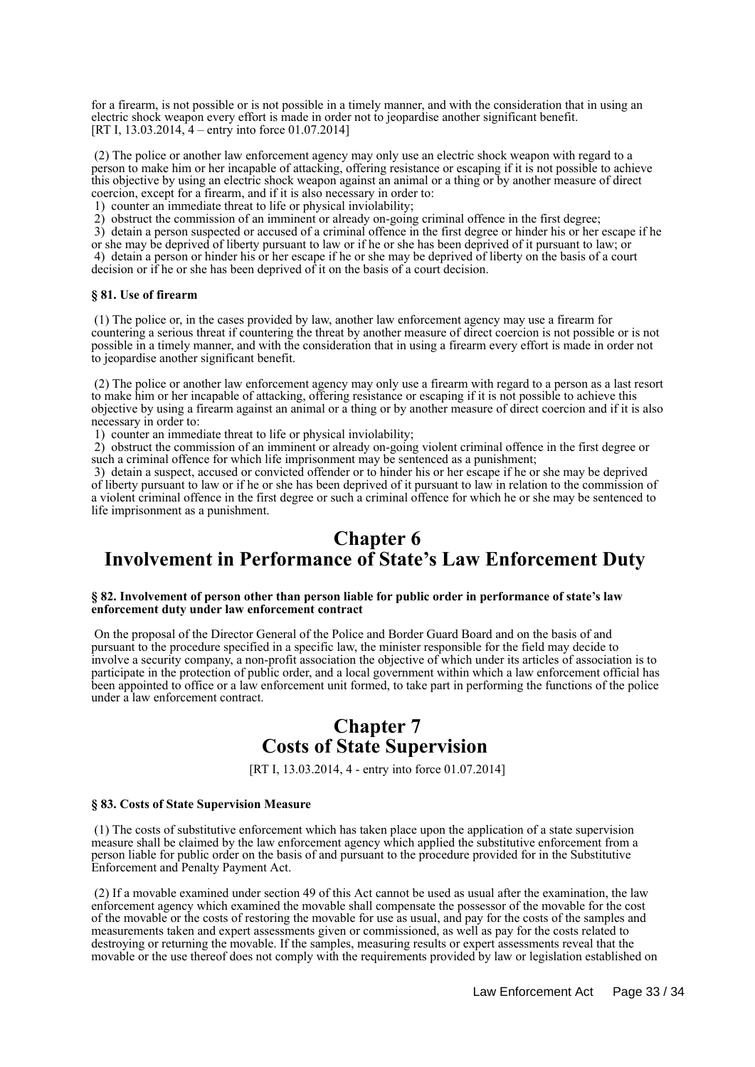for a firearm, is not possible or is not possible in a timely manner, and with the consideration that in using an electric shock weapon every effort is made in order not to jeopardise another significant benefit. [RT I, 13.03.2014, 4 – entry into force 01.07.2014]

 (2) The police or another law enforcement agency may only use an electric shock weapon with regard to a person to make him or her incapable of attacking, offering resistance or escaping if it is not possible to achieve this objective by using an electric shock weapon against an animal or a thing or by another measure of direct coercion, except for a firearm, and if it is also necessary in order to:

1) counter an immediate threat to life or physical inviolability;

2) obstruct the commission of an imminent or already on-going criminal offence in the first degree;

 3) detain a person suspected or accused of a criminal offence in the first degree or hinder his or her escape if he or she may be deprived of liberty pursuant to law or if he or she has been deprived of it pursuant to law; or 4) detain a person or hinder his or her escape if he or she may be deprived of liberty on the basis of a court decision or if he or she has been deprived of it on the basis of a court decision.

## **§ 81. Use of firearm**

 (1) The police or, in the cases provided by law, another law enforcement agency may use a firearm for countering a serious threat if countering the threat by another measure of direct coercion is not possible or is not possible in a timely manner, and with the consideration that in using a firearm every effort is made in order not to jeopardise another significant benefit.

 (2) The police or another law enforcement agency may only use a firearm with regard to a person as a last resort to make him or her incapable of attacking, offering resistance or escaping if it is not possible to achieve this objective by using a firearm against an animal or a thing or by another measure of direct coercion and if it is also necessary in order to:

1) counter an immediate threat to life or physical inviolability;

 2) obstruct the commission of an imminent or already on-going violent criminal offence in the first degree or such a criminal offence for which life imprisonment may be sentenced as a punishment;

 3) detain a suspect, accused or convicted offender or to hinder his or her escape if he or she may be deprived of liberty pursuant to law or if he or she has been deprived of it pursuant to law in relation to the commission of a violent criminal offence in the first degree or such a criminal offence for which he or she may be sentenced to life imprisonment as a punishment.

## **Chapter 6 Involvement in Performance of State's Law Enforcement Duty**

#### **§ 82. Involvement of person other than person liable for public order in performance of state's law enforcement duty under law enforcement contract**

 On the proposal of the Director General of the Police and Border Guard Board and on the basis of and pursuant to the procedure specified in a specific law, the minister responsible for the field may decide to involve a security company, a non-profit association the objective of which under its articles of association is to participate in the protection of public order, and a local government within which a law enforcement official has been appointed to office or a law enforcement unit formed, to take part in performing the functions of the police under a law enforcement contract.

# **Chapter 7 Costs of State Supervision**

[RT I, 13.03.2014, 4 - entry into force 01.07.2014]

### **§ 83. Costs of State Supervision Measure**

 (1) The costs of substitutive enforcement which has taken place upon the application of a state supervision measure shall be claimed by the law enforcement agency which applied the substitutive enforcement from a person liable for public order on the basis of and pursuant to the procedure provided for in the Substitutive Enforcement and Penalty Payment Act.

 (2) If a movable examined under section 49 of this Act cannot be used as usual after the examination, the law enforcement agency which examined the movable shall compensate the possessor of the movable for the cost of the movable or the costs of restoring the movable for use as usual, and pay for the costs of the samples and measurements taken and expert assessments given or commissioned, as well as pay for the costs related to destroying or returning the movable. If the samples, measuring results or expert assessments reveal that the movable or the use thereof does not comply with the requirements provided by law or legislation established on